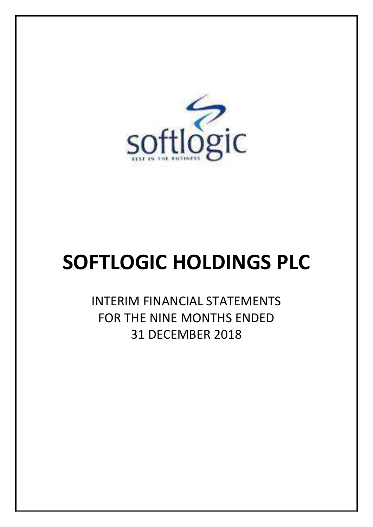

# **SOFTLOGIC HOLDINGS PLC**

INTERIM FINANCIAL STATEMENTS FOR THE NINE MONTHS ENDED 31 DECEMBER 2018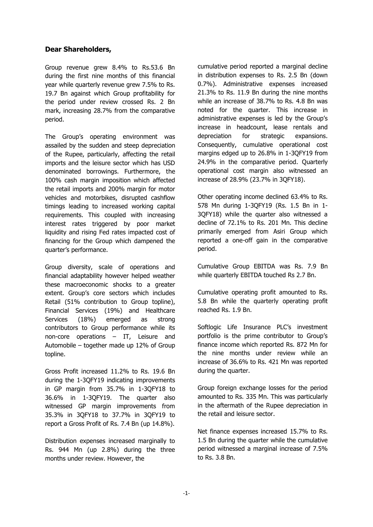#### **Dear Shareholders,**

Group revenue grew 8.4% to Rs.53.6 Bn during the first nine months of this financial year while quarterly revenue grew 7.5% to Rs. 19.7 Bn against which Group profitability for the period under review crossed Rs. 2 Bn mark, increasing 28.7% from the comparative period.

The Group's operating environment was assailed by the sudden and steep depreciation of the Rupee, particularly, affecting the retail imports and the leisure sector which has USD denominated borrowings. Furthermore, the 100% cash margin imposition which affected the retail imports and 200% margin for motor vehicles and motorbikes, disrupted cashflow timings leading to increased working capital requirements. This coupled with increasing interest rates triggered by poor market liquidity and rising Fed rates impacted cost of financing for the Group which dampened the quarter's performance.

Group diversity, scale of operations and financial adaptability however helped weather these macroeconomic shocks to a greater extent. Group's core sectors which includes Retail (51% contribution to Group topline), Financial Services (19%) and Healthcare Services (18%) emerged as strong contributors to Group performance while its non-core operations – IT, Leisure and Automobile – together made up 12% of Group topline.

Gross Profit increased 11.2% to Rs. 19.6 Bn during the 1-3QFY19 indicating improvements in GP margin from 35.7% in 1-3QFY18 to 36.6% in 1-3QFY19. The quarter also witnessed GP margin improvements from 35.3% in 3QFY18 to 37.7% in 3QFY19 to report a Gross Profit of Rs. 7.4 Bn (up 14.8%).

Distribution expenses increased marginally to Rs. 944 Mn (up 2.8%) during the three months under review. However, the

cumulative period reported a marginal decline in distribution expenses to Rs. 2.5 Bn (down 0.7%). Administrative expenses increased 21.3% to Rs. 11.9 Bn during the nine months while an increase of 38.7% to Rs. 4.8 Bn was noted for the quarter. This increase in administrative expenses is led by the Group's increase in headcount, lease rentals and depreciation for strategic expansions. Consequently, cumulative operational cost margins edged up to 26.8% in 1-3QFY19 from 24.9% in the comparative period. Quarterly operational cost margin also witnessed an increase of 28.9% (23.7% in 3QFY18).

Other operating income declined 63.4% to Rs. 578 Mn during 1-3QFY19 (Rs. 1.5 Bn in 1- 3QFY18) while the quarter also witnessed a decline of 72.1% to Rs. 201 Mn. This decline primarily emerged from Asiri Group which reported a one-off gain in the comparative period.

Cumulative Group EBITDA was Rs. 7.9 Bn while quarterly EBITDA touched Rs 2.7 Bn.

Cumulative operating profit amounted to Rs. 5.8 Bn while the quarterly operating profit reached Rs. 1.9 Bn.

Softlogic Life Insurance PLC's investment portfolio is the prime contributor to Group's finance income which reported Rs. 872 Mn for the nine months under review while an increase of 36.6% to Rs. 421 Mn was reported during the quarter.

Group foreign exchange losses for the period amounted to Rs. 335 Mn. This was particularly in the aftermath of the Rupee depreciation in the retail and leisure sector.

Net finance expenses increased 15.7% to Rs. 1.5 Bn during the quarter while the cumulative period witnessed a marginal increase of 7.5% to Rs. 3.8 Bn.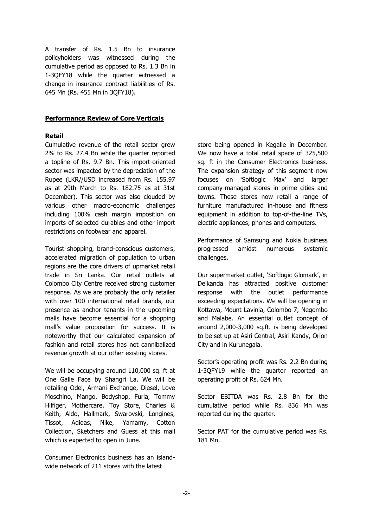A transfer of Rs. 1.5 Bn to insurance policyholders was witnessed during the cumulative period as opposed to Rs. 1.3 Bn in 1-3QFY18 while the quarter witnessed a change in insurance contract liabilities of Rs. 645 Mn (Rs. 455 Mn in 3QFY18).

#### **Performance Review of Core Verticals**

#### **Retail**

Cumulative revenue of the retail sector grew 2% to Rs. 27.4 Bn while the quarter reported a topline of Rs. 9.7 Bn. This import-oriented sector was impacted by the depreciation of the Rupee (LKR//USD increased from Rs. 155.97 as at 29th March to Rs. 182.75 as at 31st December). This sector was also clouded by various other macro-economic challenges including 100% cash margin imposition on imports of selected durables and other import restrictions on footwear and apparel.

Tourist shopping, brand-conscious customers, accelerated migration of population to urban regions are the core drivers of upmarket retail trade in Sri Lanka. Our retail outlets at Colombo City Centre received strong customer response. As we are probably the only retailer with over 100 international retail brands, our presence as anchor tenants in the upcoming malls have become essential for a shopping mall's value proposition for success. It is noteworthy that our calculated expansion of fashion and retail stores has not cannibalized revenue growth at our other existing stores.

We will be occupying around 110,000 sq. ft at One Galle Face by Shangri La. We will be retailing Odel, Armani Exchange, Diesel, Love Moschino, Mango, Bodyshop, Furla, Tommy Hilfiger, Mothercare, Toy Store, Charles & Keith, Aldo, Hallmark, Swarovski, Longines, Tissot, Adidas, Nike, Yamamy, Cotton Collection, Sketchers and Guess at this mall which is expected to open in June.

Consumer Electronics business has an islandwide network of 211 stores with the latest

store being opened in Kegalle in December. We now have a total retail space of 325,500 sq. ft in the Consumer Electronics business. The expansion strategy of this segment now focuses on 'Softlogic Max' and larger company-managed stores in prime cities and towns. These stores now retail a range of furniture manufactured in-house and fitness equipment in addition to top-of-the-line TVs, electric appliances, phones and computers.

Performance of Samsung and Nokia business progressed amidst numerous systemic challenges.

Our supermarket outlet, 'Softlogic Glomark', in Delkanda has attracted positive customer response with the outlet performance exceeding expectations. We will be opening in Kottawa, Mount Lavinia, Colombo 7, Negombo and Malabe. An essential outlet concept of around 2,000-3,000 sq.ft. is being developed to be set up at Asiri Central, Asiri Kandy, Orion City and in Kurunegala.

Sector's operating profit was Rs. 2.2 Bn during 1-3QFY19 while the quarter reported an operating profit of Rs. 624 Mn.

Sector EBITDA was Rs. 2.8 Bn for the cumulative period while Rs. 836 Mn was reported during the quarter.

Sector PAT for the cumulative period was Rs. 181 Mn.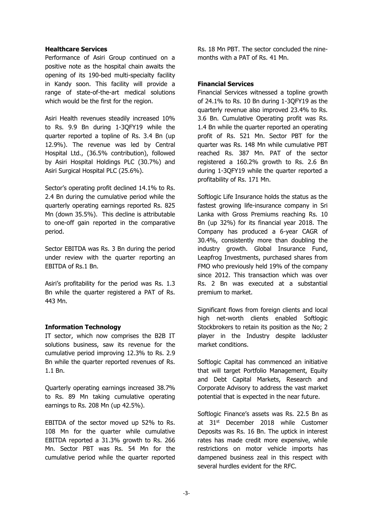#### **Healthcare Services**

Performance of Asiri Group continued on a positive note as the hospital chain awaits the opening of its 190-bed multi-specialty facility in Kandy soon. This facility will provide a range of state-of-the-art medical solutions which would be the first for the region.

Asiri Health revenues steadily increased 10% to Rs. 9.9 Bn during 1-3QFY19 while the quarter reported a topline of Rs. 3.4 Bn (up 12.9%). The revenue was led by Central Hospital Ltd., (36.5% contribution), followed by Asiri Hospital Holdings PLC (30.7%) and Asiri Surgical Hospital PLC (25.6%).

Sector's operating profit declined 14.1% to Rs. 2.4 Bn during the cumulative period while the quarterly operating earnings reported Rs. 825 Mn (down 35.5%). This decline is attributable to one-off gain reported in the comparative period.

Sector EBITDA was Rs. 3 Bn during the period under review with the quarter reporting an EBITDA of Rs.1 Bn.

Asiri's profitability for the period was Rs. 1.3 Bn while the quarter registered a PAT of Rs. 443 Mn.

#### **Information Technology**

IT sector, which now comprises the B2B IT solutions business, saw its revenue for the cumulative period improving 12.3% to Rs. 2.9 Bn while the quarter reported revenues of Rs. 1.1 Bn.

Quarterly operating earnings increased 38.7% to Rs. 89 Mn taking cumulative operating earnings to Rs. 208 Mn (up 42.5%).

EBITDA of the sector moved up 52% to Rs. 108 Mn for the quarter while cumulative EBITDA reported a 31.3% growth to Rs. 266 Mn. Sector PBT was Rs. 54 Mn for the cumulative period while the quarter reported

Rs. 18 Mn PBT. The sector concluded the ninemonths with a PAT of Rs. 41 Mn.

#### **Financial Services**

Financial Services witnessed a topline growth of 24.1% to Rs. 10 Bn during 1-3QFY19 as the quarterly revenue also improved 23.4% to Rs. 3.6 Bn. Cumulative Operating profit was Rs. 1.4 Bn while the quarter reported an operating profit of Rs. 521 Mn. Sector PBT for the quarter was Rs. 148 Mn while cumulative PBT reached Rs. 387 Mn. PAT of the sector registered a 160.2% growth to Rs. 2.6 Bn during 1-3QFY19 while the quarter reported a profitability of Rs. 171 Mn.

Softlogic Life Insurance holds the status as the fastest growing life-insurance company in Sri Lanka with Gross Premiums reaching Rs. 10 Bn (up 32%) for its financial year 2018. The Company has produced a 6-year CAGR of 30.4%, consistently more than doubling the industry growth. Global Insurance Fund, Leapfrog Investments, purchased shares from FMO who previously held 19% of the company since 2012. This transaction which was over Rs. 2 Bn was executed at a substantial premium to market.

Significant flows from foreign clients and local high net-worth clients enabled Softlogic Stockbrokers to retain its position as the No; 2 player in the Industry despite lackluster market conditions.

Softlogic Capital has commenced an initiative that will target Portfolio Management, Equity and Debt Capital Markets, Research and Corporate Advisory to address the vast market potential that is expected in the near future.

Softlogic Finance's assets was Rs. 22.5 Bn as at 31<sup>st</sup> December 2018 while Customer Deposits was Rs. 16 Bn. The uptick in interest rates has made credit more expensive, while restrictions on motor vehicle imports has dampened business zeal in this respect with several hurdles evident for the RFC.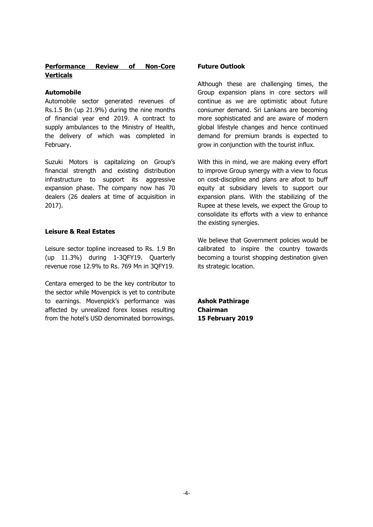#### **Performance Review of Non-Core Verticals**

#### **Automobile**

Automobile sector generated revenues of Rs.1.5 Bn (up 21.9%) during the nine months of financial year end 2019. A contract to supply ambulances to the Ministry of Health, the delivery of which was completed in February.

Suzuki Motors is capitalizing on Group's financial strength and existing distribution infrastructure to support its aggressive expansion phase. The company now has 70 dealers (26 dealers at time of acquisition in 2017).

#### **Leisure & Real Estates**

Leisure sector topline increased to Rs. 1.9 Bn (up 11.3%) during 1-3QFY19. Quarterly revenue rose 12.9% to Rs. 769 Mn in 3QFY19.

Centara emerged to be the key contributor to the sector while Movenpick is yet to contribute to earnings. Movenpick's performance was affected by unrealized forex losses resulting from the hotel's USD denominated borrowings.

#### **Future Outlook**

Although these are challenging times, the Group expansion plans in core sectors will continue as we are optimistic about future consumer demand. Sri Lankans are becoming more sophisticated and are aware of modern global lifestyle changes and hence continued demand for premium brands is expected to grow in conjunction with the tourist influx.

With this in mind, we are making every effort to improve Group synergy with a view to focus on cost-discipline and plans are afoot to buff equity at subsidiary levels to support our expansion plans. With the stabilizing of the Rupee at these levels, we expect the Group to consolidate its efforts with a view to enhance the existing synergies.

We believe that Government policies would be calibrated to inspire the country towards becoming a tourist shopping destination given its strategic location.

**Ashok Pathirage Chairman 15 February 2019**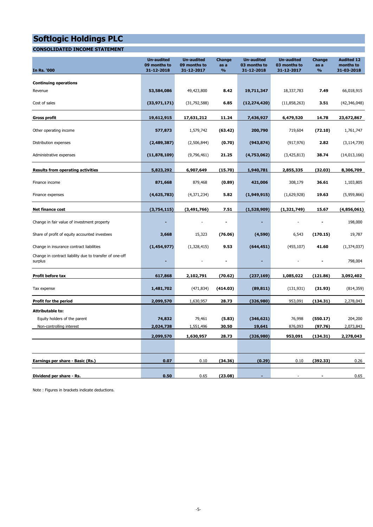#### **CONSOLIDATED INCOME STATEMENT**

| <b>In Rs. '000</b>                                                 | <b>Un-audited</b><br>09 months to<br>31-12-2018 | <b>Un-audited</b><br>09 months to<br>31-12-2017 | Change<br>as a<br>$\frac{9}{6}$ | <b>Un-audited</b><br>03 months to<br>31-12-2018 | <b>Un-audited</b><br>03 months to<br>31-12-2017 | Change<br>as a<br>$\frac{9}{6}$ | <b>Audited 12</b><br>months to<br>31-03-2018 |
|--------------------------------------------------------------------|-------------------------------------------------|-------------------------------------------------|---------------------------------|-------------------------------------------------|-------------------------------------------------|---------------------------------|----------------------------------------------|
| <b>Continuing operations</b>                                       |                                                 |                                                 |                                 |                                                 |                                                 |                                 |                                              |
| Revenue                                                            | 53,584,086                                      | 49,423,800                                      | 8.42                            | 19,711,347                                      | 18,337,783                                      | 7.49                            | 66,018,915                                   |
| Cost of sales                                                      | (33, 971, 171)                                  | (31,792,588)                                    | 6.85                            | (12, 274, 420)                                  | (11,858,263)                                    | 3.51                            | (42, 346, 048)                               |
| <b>Gross profit</b>                                                | 19,612,915                                      | 17,631,212                                      | 11.24                           | 7,436,927                                       | 6,479,520                                       | 14.78                           | 23,672,867                                   |
| Other operating income                                             | 577,873                                         | 1,579,742                                       | (63.42)                         | 200,790                                         | 719,604                                         | (72.10)                         | 1,761,747                                    |
| Distribution expenses                                              | (2,489,387)                                     | (2,506,844)                                     | (0.70)                          | (943, 874)                                      | (917, 976)                                      | 2.82                            | (3, 114, 739)                                |
| Administrative expenses                                            | (11, 878, 109)                                  | (9,796,461)                                     | 21.25                           | (4,753,062)                                     | (3,425,813)                                     | 38.74                           | (14,013,166)                                 |
| <b>Results from operating activities</b>                           | 5,823,292                                       | 6,907,649                                       | (15.70)                         | 1,940,781                                       | 2,855,335                                       | (32.03)                         | 8,306,709                                    |
| Finance income                                                     | 871,668                                         | 879,468                                         | (0.89)                          | 421,006                                         | 308,179                                         | 36.61                           | 1,103,805                                    |
| Finance expenses                                                   | (4,625,783)                                     | (4,371,234)                                     | 5.82                            | (1,949,915)                                     | (1,629,928)                                     | 19.63                           | (5,959,866)                                  |
| <b>Net finance cost</b>                                            | (3,754,115)                                     | (3,491,766)                                     | 7.51                            | (1,528,909)                                     | (1, 321, 749)                                   | 15.67                           | (4,856,061)                                  |
| Change in fair value of investment property                        |                                                 |                                                 | $\blacksquare$                  |                                                 |                                                 |                                 | 198,000                                      |
| Share of profit of equity accounted investees                      | 3,668                                           | 15,323                                          | (76.06)                         | (4,590)                                         | 6,543                                           | (170.15)                        | 19,787                                       |
| Change in insurance contract liabilities                           | (1,454,977)                                     | (1,328,415)                                     | 9.53                            | (644, 451)                                      | (455, 107)                                      | 41.60                           | (1, 374, 037)                                |
| Change in contract liability due to transfer of one-off<br>surplus | ٠                                               |                                                 | $\blacksquare$                  | ٠                                               |                                                 |                                 | 798,004                                      |
| Profit before tax                                                  | 617,868                                         | 2,102,791                                       | (70.62)                         | (237, 169)                                      | 1,085,022                                       | (121.86)                        | 3,092,402                                    |
| Tax expense                                                        | 1,481,702                                       | (471, 834)                                      | (414.03)                        | (89, 811)                                       | (131, 931)                                      | (31.93)                         | (814, 359)                                   |
| Profit for the period                                              | 2,099,570                                       | 1,630,957                                       | 28.73                           | (326, 980)                                      | 953,091                                         | (134.31)                        | 2,278,043                                    |
| <b>Attributable to:</b>                                            |                                                 |                                                 |                                 |                                                 |                                                 |                                 |                                              |
| Equity holders of the parent                                       | 74,832                                          | 79,461                                          | (5.83)                          | (346, 621)                                      | 76,998                                          | (550.17)                        | 204,200                                      |
| Non-controlling interest                                           | 2,024,738                                       | 1,551,496                                       | 30.50                           | 19,641                                          | 876,093                                         | (97.76)                         | 2,073,843                                    |
|                                                                    | 2,099,570                                       | 1,630,957                                       | 28.73                           | (326, 980)                                      | 953,091                                         | (134.31)                        | 2,278,043                                    |
|                                                                    |                                                 |                                                 |                                 |                                                 |                                                 |                                 |                                              |
| Earnings per share - Basic (Rs.)                                   | 0.07                                            | 0.10                                            | (34.36)                         | (0.29)                                          | 0.10                                            | (392.33)                        | 0.26                                         |
| Dividend per share - Rs.                                           | 0.50                                            | 0.65                                            | (23.08)                         |                                                 |                                                 |                                 | 0.65                                         |
|                                                                    |                                                 |                                                 |                                 |                                                 |                                                 |                                 |                                              |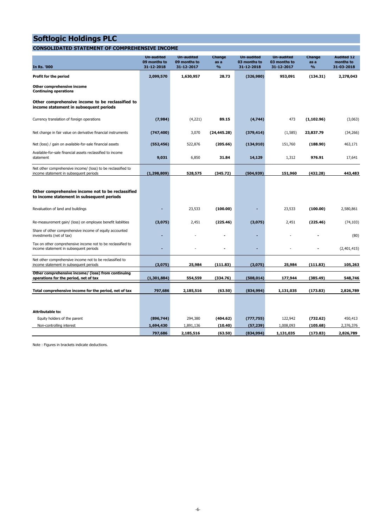#### **CONSOLIDATED STATEMENT OF COMPREHENSIVE INCOME**

| <b>In Rs. '000</b>                                                                                     | <b>Un-audited</b><br>09 months to<br>31-12-2018 | <b>Un-audited</b><br>09 months to<br>31-12-2017 | Change<br>as a<br>$\frac{9}{6}$ | <b>Un-audited</b><br>03 months to<br>31-12-2018 | Un-audited<br>03 months to<br>31-12-2017 | Change<br>as a<br>$\frac{9}{6}$ | <b>Audited 12</b><br>months to<br>31-03-2018 |
|--------------------------------------------------------------------------------------------------------|-------------------------------------------------|-------------------------------------------------|---------------------------------|-------------------------------------------------|------------------------------------------|---------------------------------|----------------------------------------------|
| Profit for the period                                                                                  | 2,099,570                                       | 1,630,957                                       | 28.73                           | (326,980)                                       | 953,091                                  | (134.31)                        | 2,278,043                                    |
| Other comprehensive income<br><b>Continuing operations</b>                                             |                                                 |                                                 |                                 |                                                 |                                          |                                 |                                              |
| Other comprehensive income to be reclassified to<br>income statement in subsequent periods             |                                                 |                                                 |                                 |                                                 |                                          |                                 |                                              |
| Currency translation of foreign operations                                                             | (7, 984)                                        | (4,221)                                         | 89.15                           | (4,744)                                         | 473                                      | (1, 102.96)                     | (3,063)                                      |
| Net change in fair value on derivative financial instruments                                           | (747, 400)                                      | 3,070                                           | (24, 445.28)                    | (379, 414)                                      | (1, 585)                                 | 23,837.79                       | (34, 266)                                    |
| Net (loss) / gain on available-for-sale financial assets                                               | (552, 456)                                      | 522,876                                         | (205.66)                        | (134, 910)                                      | 151,760                                  | (188.90)                        | 463,171                                      |
| Available-for-sale financial assets reclassified to income<br>statement                                | 9,031                                           | 6,850                                           | 31.84                           | 14,129                                          | 1,312                                    | 976.91                          | 17,641                                       |
| Net other comprehensive income/ (loss) to be reclassified to<br>income statement in subsequent periods | (1, 298, 809)                                   | 528,575                                         | (345.72)                        | (504, 939)                                      | 151,960                                  | (432.28)                        | 443,483                                      |
|                                                                                                        |                                                 |                                                 |                                 |                                                 |                                          |                                 |                                              |
| Other comprehensive income not to be reclassified<br>to income statement in subsequent periods         |                                                 |                                                 |                                 |                                                 |                                          |                                 |                                              |
| Revaluation of land and buildings                                                                      |                                                 | 23,533                                          | (100.00)                        |                                                 | 23,533                                   | (100.00)                        | 2.580.861                                    |
| Re-measurement gain/ (loss) on employee benefit liabilities                                            | (3,075)                                         | 2,451                                           | (225.46)                        | (3,075)                                         | 2,451                                    | (225.46)                        | (74, 103)                                    |
| Share of other comprehensive income of equity accounted<br>investments (net of tax)                    |                                                 |                                                 |                                 |                                                 |                                          |                                 | (80)                                         |
| Tax on other comprehensive income not to be reclassified to<br>income statement in subsequent periods  |                                                 |                                                 |                                 | ٠                                               |                                          |                                 | (2,401,415)                                  |
| Net other comprehensive income not to be reclassified to<br>income statement in subsequent periods     | (3,075)                                         | 25,984                                          | (111.83)                        | (3,075)                                         | 25,984                                   | (111.83)                        | 105,263                                      |
| Other comprehensive income/ (loss) from continuing<br>operations for the period, net of tax            | (1,301,884)                                     | 554,559                                         | (334.76)                        | (508, 014)                                      | 177,944                                  | (385.49)                        | 548,746                                      |
| Total comprehensive income for the period, net of tax                                                  | 797,686                                         | 2,185,516                                       | (63.50)                         | (834,994)                                       | 1,131,035                                | (173.83)                        | 2,826,789                                    |
|                                                                                                        |                                                 |                                                 |                                 |                                                 |                                          |                                 |                                              |
| <b>Attributable to:</b>                                                                                |                                                 |                                                 |                                 |                                                 |                                          |                                 |                                              |
| Equity holders of the parent                                                                           | (896, 744)                                      | 294,380                                         | (404.62)                        | (777, 755)                                      | 122,942                                  | (732.62)                        | 450,413                                      |
| Non-controlling interest                                                                               | 1,694,430                                       | 1,891,136                                       | (10.40)                         | (57, 239)                                       | 1,008,093                                | (105.68)                        | 2,376,376                                    |
|                                                                                                        | 797,686                                         | 2,185,516                                       | (63.50)                         | (834,994)                                       | 1,131,035                                | (173.83)                        | 2,826,789                                    |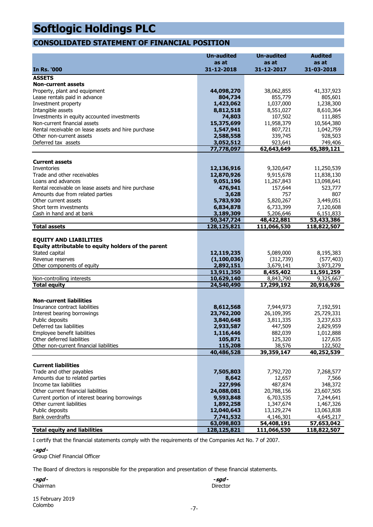### **CONSOLIDATED STATEMENT OF FINANCIAL POSITION**

|                                                     | <b>Un-audited</b>        | <b>Un-audited</b>       | <b>Audited</b>          |
|-----------------------------------------------------|--------------------------|-------------------------|-------------------------|
|                                                     | as at                    | as at                   | as at                   |
| <b>In Rs. '000</b>                                  | 31-12-2018               | 31-12-2017              | 31-03-2018              |
| <b>ASSETS</b>                                       |                          |                         |                         |
| <b>Non-current assets</b>                           |                          |                         |                         |
| Property, plant and equipment                       | 44,098,270               | 38,062,855              | 41,337,923              |
| Lease rentals paid in advance                       | 804,734                  | 855,779                 | 805,601                 |
| Investment property                                 | 1,423,062                | 1,037,000               | 1,238,300               |
| Intangible assets                                   | 8,812,518                | 8,551,027               | 8,610,364               |
| Investments in equity accounted investments         | 74,803                   | 107,502                 | 111,885                 |
| Non-current financial assets                        | 15,375,699               | 11,958,379              | 10,564,380              |
| Rental receivable on lease assets and hire purchase | 1,547,941                | 807,721                 | 1,042,759               |
| Other non-current assets                            | 2,588,558                | 339,745                 | 928,503                 |
| Deferred tax assets                                 | 3,052,512                | 923,641                 | 749,406                 |
|                                                     | 77,778,097               | 62,643,649              | 65,389,121              |
| <b>Current assets</b>                               |                          |                         |                         |
| Inventories                                         | 12,136,916               | 9,320,647               | 11,250,539              |
| Trade and other receivables                         | 12,870,926               | 9,915,678               | 11,838,130              |
| Loans and advances                                  | 9,051,196                | 11,267,843              | 13,098,641              |
| Rental receivable on lease assets and hire purchase | 476,941                  | 157,644                 | 523,777                 |
| Amounts due from related parties                    | 3,628                    | 757                     | 807                     |
| Other current assets                                | 5,783,930                | 5,820,267               | 3,449,051               |
| Short term investments                              | 6,834,878                | 6,733,399               | 7,120,608               |
| Cash in hand and at bank                            | 3,189,309                | 5,206,646               | 6,151,833               |
|                                                     | 50,347,724               | 48,422,881              | 53,433,386              |
| <b>Total assets</b>                                 | 128,125,821              | 111,066,530             | 118,822,507             |
|                                                     |                          |                         |                         |
| <b>EQUITY AND LIABILITIES</b>                       |                          |                         |                         |
| Equity attributable to equity holders of the parent |                          |                         |                         |
| Stated capital                                      | 12,119,235               | 5,089,000               | 8,195,383               |
| Revenue reserves                                    | (1, 100, 036)            | (312,739)               | (577, 403)              |
| Other components of equity                          | 2,892,151                | 3,679,141               | 3,973,279               |
| Non-controlling interests                           | 13,911,350<br>10,629,140 | 8,455,402<br>8,843,790  | 11,591,259<br>9,325,667 |
| <b>Total equity</b>                                 | 24,540,490               | 17,299,192              | 20,916,926              |
|                                                     |                          |                         |                         |
|                                                     |                          |                         |                         |
| <b>Non-current liabilities</b>                      |                          |                         |                         |
| Insurance contract liabilities                      | 8,612,568                | 7,944,973<br>26,109,395 | 7,192,591               |
| Interest bearing borrowings<br>Public deposits      | 23,762,200<br>3,840,648  | 3,811,335               | 25,729,331<br>3,237,633 |
| Deferred tax liabilities                            | 2,933,587                | 447,509                 | 2,829,959               |
| Employee benefit liabilities                        | 1,116,446                | 882,039                 | 1,012,888               |
| Other deferred liabilities                          | 105,871                  | 125,320                 | 127,635                 |
| Other non-current financial liabilities             | 115,208                  | 38,576                  | 122,502                 |
|                                                     | 40,486,528               | 39,359,147              | 40,252,539              |
|                                                     |                          |                         |                         |
| <b>Current liabilities</b>                          |                          |                         |                         |
| Trade and other payables                            | 7,505,803                | 7,792,720               | 7,268,577               |
| Amounts due to related parties                      | 8,642                    | 12,657                  | 7,566                   |
| Income tax liabilities                              | 227,996                  | 487,874                 | 348,372                 |
| Other current financial liabilities                 | 24,088,081               | 20,788,156              | 23,607,505              |
| Current portion of interest bearing borrowings      | 9,593,848                | 6,703,535               | 7,244,641               |
| Other current liabilities                           | 1,892,258                | 1,347,674               | 1,467,326               |
| Public deposits                                     | 12,040,643               | 13,129,274              | 13,063,838              |
| Bank overdrafts                                     | 7,741,532                | 4,146,301               | 4,645,217               |
|                                                     | 63,098,803               | 54,408,191              | 57,653,042              |
| <b>Total equity and liabilities</b>                 | 128,125,821              | 111,066,530             | 118,822,507             |

I certify that the financial statements comply with the requirements of the Companies Act No. 7 of 2007.

**-sgd -**

Group Chief Financial Officer

The Board of directors is responsible for the preparation and presentation of these financial statements.

**-sgd - -sgd -** Chairman Director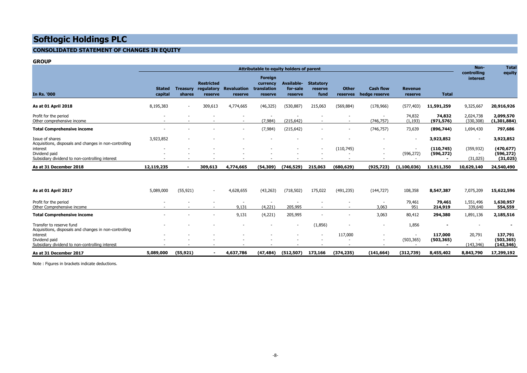#### **CONSOLIDATED STATEMENT OF CHANGES IN EQUITY**

#### **GROUP**

|                                                                              | Attributable to equity holders of parent             |                          |                                            |                               |                                               |                                          | Non-<br>controlling                 | <b>Total</b><br>equity   |                                   |                           |                          |                          |                                       |
|------------------------------------------------------------------------------|------------------------------------------------------|--------------------------|--------------------------------------------|-------------------------------|-----------------------------------------------|------------------------------------------|-------------------------------------|--------------------------|-----------------------------------|---------------------------|--------------------------|--------------------------|---------------------------------------|
| <b>In Rs. '000</b>                                                           | <b>Stated</b><br>capital                             | Treasurv<br>shares       | <b>Restricted</b><br>regulatory<br>reserve | <b>Revaluation</b><br>reserve | Foreign<br>currency<br>translation<br>reserve | <b>Available-</b><br>for-sale<br>reserve | <b>Statutory</b><br>reserve<br>fund | <b>Other</b><br>reserves | <b>Cash flow</b><br>hedge reserve | <b>Revenue</b><br>reserve | <b>Total</b>             | interest                 |                                       |
| As at 01 April 2018                                                          | 8,195,383                                            | $\overline{\phantom{a}}$ | 309,613                                    | 4,774,665                     | (46, 325)                                     | (530, 887)                               | 215,063                             | (569, 884)               | (178, 966)                        | (577, 403)                | 11,591,259               | 9,325,667                | 20,916,926                            |
| Profit for the period<br>Other comprehensive income                          | $\overline{\phantom{a}}$                             |                          |                                            |                               | (7, 984)                                      | (215, 642)                               |                                     |                          | (746, 757)                        | 74,832<br>(1, 193)        | 74,832<br>(971, 576)     | 2,024,738<br>(330, 308)  | 2,099,570<br>(1, 301, 884)            |
| <b>Total Comprehensive income</b>                                            | $\overline{\phantom{a}}$                             |                          |                                            | $\overline{\phantom{a}}$      | (7,984)                                       | (215, 642)                               | $\overline{\phantom{a}}$            |                          | (746, 757)                        | 73,639                    | (896, 744)               | 1,694,430                | 797,686                               |
| Issue of shares<br>Acquisitions, disposals and changes in non-controlling    | 3,923,852                                            | $\overline{\phantom{a}}$ |                                            |                               |                                               |                                          |                                     |                          |                                   |                           | 3,923,852                | $\overline{\phantom{a}}$ | 3,923,852                             |
| interest<br>Dividend paid<br>Subsidiary dividend to non-controlling interest | $\overline{\phantom{a}}$<br>$\overline{\phantom{a}}$ | $\overline{\phantom{a}}$ |                                            |                               |                                               | $\overline{\phantom{a}}$                 | $\sim$                              | (110, 745)               | $\overline{\phantom{a}}$          | (596, 272)                | (110, 745)<br>(596, 272) | (359, 932)<br>(31, 025)  | (470, 677)<br>(596, 272)<br>(31, 025) |
| As at 31 December 2018                                                       | 12,119,235                                           | $\sim$                   | 309,613                                    | 4,774,665                     | (54, 309)                                     | (746, 529)                               | 215,063                             | (680, 629)               | (925, 723)                        | (1,100,036)               | 13,911,350               | 10,629,140               | 24,540,490                            |
|                                                                              |                                                      |                          |                                            |                               |                                               |                                          |                                     |                          |                                   |                           |                          |                          |                                       |
| As at 01 April 2017                                                          | 5,089,000                                            | (55, 921)                | $\sim$                                     | 4,628,655                     | (43, 263)                                     | (718, 502)                               | 175,022                             | (491, 235)               | (144, 727)                        | 108,358                   | 8,547,387                | 7,075,209                | 15,622,596                            |
| Profit for the period<br>Othor Compushonorius income                         |                                                      |                          |                                            | 0.121                         | (1.221)                                       | <b>DOE OOE</b>                           |                                     |                          | 2002                              | 79,461<br>$\Omega$        | 79,461<br><b>314.010</b> | 1,551,496<br>220.640     | 1,630,957<br>PPA PPA                  |

| As at 31 December 2017                                                             | 5,089,000 | (55, 921) |                          | 4,637,786 | (47, 484) | (512, 507) | 173,166                  | (374,235) | (141, 664) | (312,739)  | 8,455,402  | 8,843,790  | 17,299,192 |
|------------------------------------------------------------------------------------|-----------|-----------|--------------------------|-----------|-----------|------------|--------------------------|-----------|------------|------------|------------|------------|------------|
| Subsidiary dividend to non-controlling interest                                    |           |           |                          |           |           |            |                          |           |            |            |            | (143, 346) | (143, 346) |
| Dividend paid                                                                      |           | $\sim$    | $\overline{\phantom{0}}$ | . .       |           |            | $\overline{\phantom{a}}$ |           |            | (503, 365) | (503, 365) |            | (503, 365) |
| interest                                                                           |           |           | $\overline{\phantom{a}}$ |           |           |            |                          | 117,000   |            |            | 117,000    | 20,791     | 137,791    |
| Transfer to reserve fund<br>Acquisitions, disposals and changes in non-controlling |           |           | -                        |           |           |            | (1,856)                  |           | -          | 1,856      |            |            |            |
| <b>Total Comprehensive income</b>                                                  |           |           | $\overline{\phantom{a}}$ | 9,131     | (4,221)   | 205,995    | <b>.</b>                 |           | 3,063      | 80,412     | 294,380    | 1,891,136  | 2,185,516  |
| Other Comprehensive income                                                         |           |           |                          | 9,131     | (4,221)   | 205,995    |                          |           | 3,063      | 951        | 214,919    | 339,640    | 554,559    |
| Profit for the period                                                              |           |           | $\overline{\phantom{0}}$ |           |           |            |                          |           | . .        | 79,461     | 79,461     | 1,551,496  | 1,630,957  |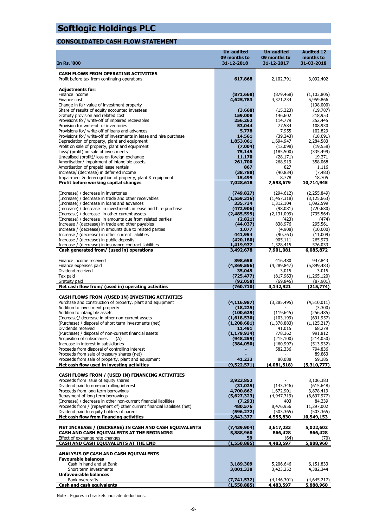### **CONSOLIDATED CASH FLOW STATEMENT**

|                                                                                                                      | <b>Un-audited</b>        | <b>Un-audited</b>        | <b>Audited 12</b>       |
|----------------------------------------------------------------------------------------------------------------------|--------------------------|--------------------------|-------------------------|
|                                                                                                                      | 09 months to             | 09 months to             | months to               |
| <b>In Rs. '000</b>                                                                                                   | 31-12-2018               | 31-12-2017               | 31-03-2018              |
| <b>CASH FLOWS FROM OPERATING ACTIVITIES</b>                                                                          |                          |                          |                         |
| Profit before tax from continuing operations                                                                         | 617,868                  | 2,102,791                | 3,092,402               |
|                                                                                                                      |                          |                          |                         |
| <b>Adjustments for:</b>                                                                                              |                          |                          |                         |
| Finance income                                                                                                       | (871, 668)               | (879, 468)               | (1, 103, 805)           |
| Finance cost<br>Change in fair value of investment property                                                          | 4,625,783                | 4,371,234                | 5,959,866<br>(198,000)  |
| Share of results of equity accounted investees                                                                       | (3,668)                  | (15, 323)                | (19, 787)               |
| Gratuity provision and related cost                                                                                  | 159,008                  | 146,602                  | 218,953                 |
| Provisions for/ write-off of impaired receivables                                                                    | 256,262                  | 114,779                  | 252,445                 |
| Provision for write-off of inventories                                                                               | 53,044                   | 77,584                   | 108,930                 |
| Provisions for/ write-off of loans and advances                                                                      | 5,778                    | 7,955                    | 102,829                 |
| Provisions for/ write-off of investments in lease and hire purchase<br>Depreciation of property, plant and equipment | 14,561<br>1,853,061      | (39, 343)<br>1,694,947   | (18,091)<br>2,284,583   |
| Profit on sale of property, plant and equipment                                                                      | (7,004)                  | (12,098)                 | (19, 558)               |
| Loss/ (profit) on sale of investments                                                                                | 75,145                   | (185, 500)               | (335, 499)              |
| Unrealised (profit)/ loss on foreign exchange                                                                        | 11,170                   | (28, 171)                | 19,271                  |
| Amortisation/ impairment of intangible assets                                                                        | 261,700                  | 268,919                  | 358,068                 |
| Amortisation of prepaid lease rentals                                                                                | 867                      | 827                      | 1,116                   |
| Increase/ (decrease) in deferred income                                                                              | (38, 788)                | (40, 834)                | (7, 483)                |
| Impairment & derecognition of property, plant & equipment<br>Profit before working capital changes                   | 15,499<br>7,028,618      | 8,778<br>7,593,679       | 18,705<br>10,714,945    |
|                                                                                                                      |                          |                          |                         |
| (Increase) / decrease in inventories                                                                                 | (749, 827)               | (294, 612)               | (2, 255, 849)           |
| (Increase) / decrease in trade and other receivables                                                                 | (1,559,316)              | (1,457,318)              | (3, 125, 663)           |
| (Increase) / decrease in loans and advances                                                                          | 335,734                  | 1,312,104                | 1,092,599               |
| (Increase) / decrease in investments in lease and hire purchase                                                      | (472,906)                | (98,081)                 | (720, 680)              |
| (Increase) / decrease in other current assets                                                                        | (2,485,595)              | (2, 131, 099)            | (735, 564)              |
| (Increase) / decrease in amounts due from related parties<br>Increase / (decrease) in trade and other payables       | (2,821)<br>(44,037)      | (423)<br>838,976         | (474)<br>295,561        |
| Increase / (decrease) in amounts due to related parties                                                              | 1,077                    | (4,908)                  | (10,000)                |
| Increase / (decrease) in other current liabilities                                                                   | 441,954                  | (90, 763)                | (11,009)                |
| Increase / (decrease) in public deposits                                                                             | (420, 180)               | 905,111                  | 265,973                 |
| Increase / (decrease) in insurance contract liabilities                                                              | 1,419,977                | 1,328,415                | 576,033                 |
| Cash generated from/ (used in) operations                                                                            | 3,492,678                | 7,901,081                | 6,085,872               |
| Finance income received                                                                                              |                          |                          |                         |
| Finance expenses paid                                                                                                | 898,658<br>(4,369,556)   | 416,480<br>(4,289,847)   | 947,843<br>(5,899,483)  |
| Dividend received                                                                                                    | 35,045                   | 3,015                    | 3,015                   |
| Tax paid                                                                                                             | (725, 477)               | (817, 963)               | (1,265,120)             |
| Gratuity paid                                                                                                        | (92, 058)                | (69, 845)                | (87, 901)               |
| Net cash flow from/ (used in) operating activities                                                                   | (760, 710)               | 3,142,921                | (215, 774)              |
|                                                                                                                      |                          |                          |                         |
| CASH FLOWS FROM / (USED IN) INVESTING ACTIVITIES<br>Purchase and construction of property, plant and equipment       | (4, 116, 987)            | (3,285,495)              | (4,510,011)             |
| Addition to investment property                                                                                      | (18, 225)                |                          | (3,300)                 |
| Addition to intangible assets                                                                                        | (100, 629)               | (119, 645)               | (256, 485)              |
| (Increase)/ decrease in other non-current assets                                                                     | (1,618,530)              | (103, 199)               | (691, 957)              |
| (Purchase) / disposal of short term investments (net)                                                                | (1,208,681)              | (1,378,883)              | (1, 125, 217)           |
| Dividends received                                                                                                   | 11,491                   | 41,015                   | 68,279                  |
| (Purchase) / disposal of non-current financial assets                                                                | (1, 179, 934)            | 778,362                  | 991,812                 |
| Acquisition of subsidiaries<br>(A)<br>Increase in interest in subsidiaries                                           | (948, 259)<br>(384, 050) | (215, 100)<br>(460, 997) | (214,050)<br>(513, 932) |
| Proceeds from disposal of controlling interest                                                                       |                          | 582,336                  | 794,836                 |
| Proceeds from sale of treasury shares (net)                                                                          |                          |                          | 89,863                  |
| Proceeds from sale of property, plant and equipment                                                                  | 41,233                   | 80,088                   | 59,385                  |
| Net cash flow used in investing activities                                                                           | (9,522,571)              | (4,081,518)              | (5,310,777)             |
|                                                                                                                      |                          |                          |                         |
| CASH FLOWS FROM / (USED IN) FINANCING ACTIVITIES<br>Proceeds from issue of equity shares                             |                          |                          |                         |
| Dividend paid to non-controlling interest                                                                            | 3,923,852<br>(31, 025)   | (143, 346)               | 3,106,383<br>(615, 648) |
| Proceeds from long term borrowings                                                                                   | 4,700,862                | 1,672,901                | 3,878,419               |
| Repayment of long term borrowings                                                                                    | (5,627,323)              | (4,947,719)              | (6,697,977)             |
| (Increase) / decrease in other non-current financial liabilities                                                     | (7, 293)                 | 403                      | 84,339                  |
| Proceeds from / (repayment of) other current financial liabilities (net)                                             | 480,576                  | 8,476,956                | 11,297,002              |
| Dividend paid to equity holders of parent                                                                            | (596, 272)               | (503, 365)               | (503, 365)              |
| Net cash flow from financing activities                                                                              | 2,843,377                | 4,555,830                | 10,549,153              |
| NET INCREASE / (DECREASE) IN CASH AND CASH EQUIVALENTS                                                               | (7,439,904)              | 3,617,233                | 5,022,602               |
| CASH AND CASH EQUIVALENTS AT THE BEGINNING                                                                           | 5,888,960                | 866,428                  | 866,428                 |
| Effect of exchange rate changes                                                                                      | 59                       | (64)                     | (70)                    |
| CASH AND CASH EQUIVALENTS AT THE END                                                                                 | (1,550,885)              | 4,483,597                | 5,888,960               |
| ANALYSIS OF CASH AND CASH EQUIVALENTS                                                                                |                          |                          |                         |
| <b>Favourable balances</b>                                                                                           |                          |                          |                         |
| Cash in hand and at Bank                                                                                             | 3,189,309                | 5,206,646                | 6,151,833               |
| Short term investments                                                                                               | 3,001,338                | 3,423,252                | 4,382,344               |
| <b>Unfavourable balances</b>                                                                                         |                          |                          |                         |
| Bank overdrafts                                                                                                      | (7,741,532)              | (4, 146, 301)            | (4,645,217)             |
| <b>Cash and cash equivalents</b>                                                                                     | (1,550,885)              | 4,483,597                | <u>5,888,960</u>        |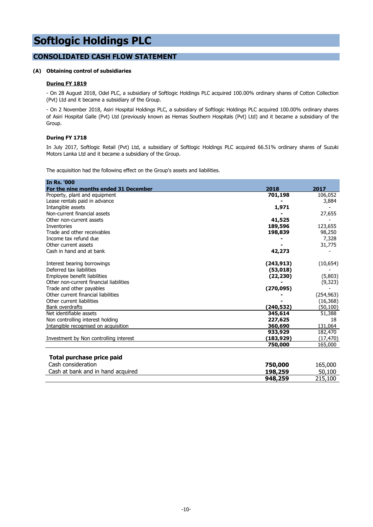#### **CONSOLIDATED CASH FLOW STATEMENT**

#### **(A) Obtaining control of subsidiaries**

#### **During FY 1819**

- On 28 August 2018, Odel PLC, a subsidiary of Softlogic Holdings PLC acquired 100.00% ordinary shares of Cotton Collection (Pvt) Ltd and it became a subsidiary of the Group.

- On 2 November 2018, Asiri Hospital Holdings PLC, a subsidiary of Softlogic Holdings PLC acquired 100.00% ordinary shares of Asiri Hospital Galle (Pvt) Ltd (previously known as Hemas Southern Hospitals (Pvt) Ltd) and it became a subsidiary of the Group.

#### **During FY 1718**

In July 2017, Softlogic Retail (Pvt) Ltd, a subsidiary of Softlogic Holdings PLC acquired 66.51% ordinary shares of Suzuki Motors Lanka Ltd and it became a subsidiary of the Group.

The acquisition had the following effect on the Group's assets and liabilities.

| <b>In Rs. '000</b>                      |            |            |
|-----------------------------------------|------------|------------|
| For the nine months ended 31 December   | 2018       | 2017       |
| Property, plant and equipment           | 701,198    | 106,052    |
| Lease rentals paid in advance           |            | 3,884      |
| Intangible assets                       | 1,971      |            |
| Non-current financial assets            |            | 27,655     |
| Other non-current assets                | 41,525     |            |
| Inventories                             | 189,596    | 123,655    |
| Trade and other receivables             | 198,839    | 98,250     |
| Income tax refund due                   |            | 7,328      |
| Other current assets                    |            | 31,775     |
| Cash in hand and at bank                | 42,273     |            |
| Interest bearing borrowings             | (243, 913) | (10, 654)  |
| Deferred tax liabilities                | (53,018)   |            |
| Employee benefit liabilities            | (22, 230)  | (5,803)    |
| Other non-current financial liabilities |            | (9,323)    |
| Trade and other payables                | (270, 095) |            |
| Other current financial liabilities     |            | (254, 963) |
| Other current liabilities               |            | (16, 368)  |
| Bank overdrafts                         | (240,532)  | (50, 100)  |
| Net identifiable assets                 | 345,614    | 51,388     |
| Non controlling interest holding        | 227,625    | 18         |
| Intangible recognised on acquisition    | 360,690    | 131,064    |
|                                         | 933,929    | 182,470    |
| Investment by Non controlling interest  | (183, 929) | (17, 470)  |
|                                         | 750,000    | 165,000    |
| Total purchase price paid               |            |            |
| Cash consideration                      | 750,000    | 165,000    |
| Cash at bank and in hand acquired       | 198,259    | 50,100     |
|                                         | 948,259    | 215,100    |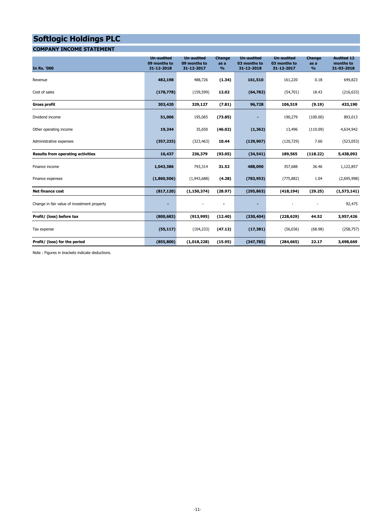#### **COMPANY INCOME STATEMENT**

| <b>In Rs. '000</b>                          | <b>Un-audited</b><br>09 months to<br>31-12-2018 | <b>Un-audited</b><br>09 months to<br>31-12-2017 | <b>Change</b><br>as a<br>$\frac{9}{6}$ | <b>Un-audited</b><br>03 months to<br>31-12-2018 | <b>Un-audited</b><br>03 months to<br>31-12-2017 | Change<br>as a<br>$\frac{9}{6}$ | <b>Audited 12</b><br>months to<br>31-03-2018 |
|---------------------------------------------|-------------------------------------------------|-------------------------------------------------|----------------------------------------|-------------------------------------------------|-------------------------------------------------|---------------------------------|----------------------------------------------|
| Revenue                                     | 482,198                                         | 488,726                                         | (1.34)                                 | 161,510                                         | 161,220                                         | 0.18                            | 649,823                                      |
| Cost of sales                               | (178, 778)                                      | (159, 599)                                      | 12.02                                  | (64, 782)                                       | (54,701)                                        | 18.43                           | (216, 633)                                   |
| <b>Gross profit</b>                         | 303,420                                         | 329,127                                         | (7.81)                                 | 96,728                                          | 106,519                                         | (9.19)                          | 433,190                                      |
| Dividend income                             | 51,006                                          | 195,065                                         | (73.85)                                |                                                 | 190,279                                         | (100.00)                        | 893,013                                      |
| Other operating income                      | 19,244                                          | 35,650                                          | (46.02)                                | (1, 362)                                        | 13,496                                          | (110.09)                        | 4,634,942                                    |
| Administrative expenses                     | (357, 233)                                      | (323, 463)                                      | 10.44                                  | (129, 907)                                      | (120, 729)                                      | 7.60                            | (523, 053)                                   |
| <b>Results from operating activities</b>    | 16,437                                          | 236,379                                         | (93.05)                                | (34, 541)                                       | 189,565                                         | (118.22)                        | 5,438,092                                    |
| Finance income                              | 1,043,386                                       | 793,314                                         | 31.52                                  | 488,090                                         | 357,688                                         | 36.46                           | 1,122,857                                    |
| Finance expenses                            | (1,860,506)                                     | (1,943,688)                                     | (4.28)                                 | (783, 953)                                      | (775, 882)                                      | 1.04                            | (2,695,998)                                  |
| <b>Net finance cost</b>                     | (817, 120)                                      | (1, 150, 374)                                   | (28.97)                                | (295, 863)                                      | (418, 194)                                      | (29.25)                         | (1,573,141)                                  |
| Change in fair value of investment property | ٠                                               |                                                 | $\blacksquare$                         |                                                 |                                                 |                                 | 92,475                                       |
| Profit/ (loss) before tax                   | (800, 683)                                      | (913, 995)                                      | (12.40)                                | (330, 404)                                      | (228, 629)                                      | 44.52                           | 3,957,426                                    |
| Tax expense                                 | (55, 117)                                       | (104, 233)                                      | (47.12)                                | (17, 381)                                       | (56,036)                                        | (68.98)                         | (258, 757)                                   |
| Profit/ (loss) for the period               | (855, 800)                                      | (1,018,228)                                     | (15.95)                                | (347, 785)                                      | (284, 665)                                      | 22.17                           | 3,698,669                                    |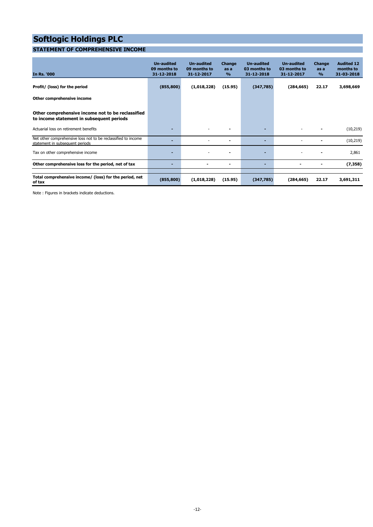### **STATEMENT OF COMPREHENSIVE INCOME**

| <b>In Rs. '000</b>                                                                               | <b>Un-audited</b><br>09 months to<br>31-12-2018 | <b>Un-audited</b><br>09 months to<br>31-12-2017 | Change<br>as a<br>$\frac{9}{6}$ | Un-audited<br>03 months to<br>31-12-2018 | Un-audited<br>03 months to<br>31-12-2017 | <b>Change</b><br>as a<br>$\frac{9}{6}$ | <b>Audited 12</b><br>months to<br>31-03-2018 |
|--------------------------------------------------------------------------------------------------|-------------------------------------------------|-------------------------------------------------|---------------------------------|------------------------------------------|------------------------------------------|----------------------------------------|----------------------------------------------|
| Profit/ (loss) for the period                                                                    | (855, 800)                                      | (1,018,228)                                     | (15.95)                         | (347,785)                                | (284, 665)                               | 22.17                                  | 3,698,669                                    |
| Other comprehensive income                                                                       |                                                 |                                                 |                                 |                                          |                                          |                                        |                                              |
| Other comprehensive income not to be reclassified<br>to income statement in subsequent periods   |                                                 |                                                 |                                 |                                          |                                          |                                        |                                              |
| Actuarial loss on retirement benefits                                                            |                                                 |                                                 |                                 |                                          |                                          |                                        | (10, 219)                                    |
| Net other comprehensive loss not to be reclassified to income<br>statement in subsequent periods |                                                 |                                                 |                                 |                                          |                                          |                                        | (10, 219)                                    |
| Tax on other comprehensive income                                                                |                                                 |                                                 |                                 | -                                        |                                          |                                        | 2,861                                        |
| Other comprehensive loss for the period, net of tax                                              | -                                               |                                                 | ۰                               | -                                        |                                          | ٠                                      | (7, 358)                                     |
| Total comprehensive income/ (loss) for the period, net<br>of tax                                 | (855, 800)                                      | (1,018,228)                                     | (15.95)                         | (347,785)                                | (284, 665)                               | 22.17                                  | 3,691,311                                    |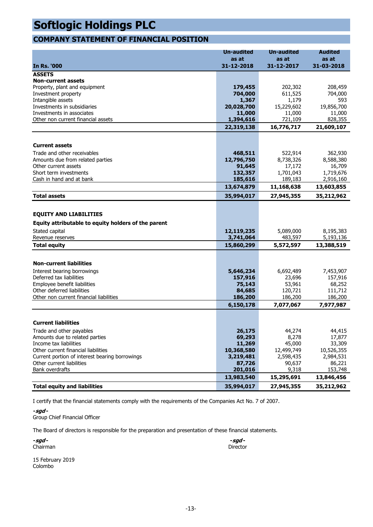### **COMPANY STATEMENT OF FINANCIAL POSITION**

|                                                     | <b>Un-audited</b>   | <b>Un-audited</b> | <b>Audited</b> |
|-----------------------------------------------------|---------------------|-------------------|----------------|
|                                                     | as at               | as at             | as at          |
| <b>In Rs. '000</b>                                  | 31-12-2018          | 31-12-2017        | 31-03-2018     |
| <b>ASSETS</b>                                       |                     |                   |                |
| <b>Non-current assets</b>                           |                     |                   |                |
| Property, plant and equipment                       | 179,455             | 202,302           | 208,459        |
| Investment property                                 | 704,000             | 611,525<br>1,179  | 704,000<br>593 |
| Intangible assets<br>Investments in subsidiaries    | 1,367<br>20,028,700 | 15,229,602        | 19,856,700     |
| Investments in associates                           | 11,000              | 11,000            | 11,000         |
| Other non current financial assets                  | 1,394,616           | 721,109           | 828,355        |
|                                                     | 22,319,138          | 16,776,717        | 21,609,107     |
|                                                     |                     |                   |                |
| <b>Current assets</b>                               |                     |                   |                |
| Trade and other receivables                         | 468,511             | 522,914           | 362,930        |
| Amounts due from related parties                    | 12,796,750          | 8,738,326         | 8,588,380      |
| Other current assets                                | 91,645              | 17,172            | 16,709         |
| Short term investments                              | 132,357             | 1,701,043         | 1,719,676      |
| Cash in hand and at bank                            | 185,616             | 189,183           | 2,916,160      |
|                                                     | 13,674,879          | 11,168,638        | 13,603,855     |
| <b>Total assets</b>                                 | 35,994,017          | 27,945,355        | 35,212,962     |
|                                                     |                     |                   |                |
| <b>EQUITY AND LIABILITIES</b>                       |                     |                   |                |
| Equity attributable to equity holders of the parent |                     |                   |                |
| Stated capital                                      | 12,119,235          | 5,089,000         | 8,195,383      |
| Revenue reserves                                    | 3,741,064           | 483,597           | 5,193,136      |
| <b>Total equity</b>                                 | 15,860,299          | 5,572,597         | 13,388,519     |
|                                                     |                     |                   |                |
| <b>Non-current liabilities</b>                      |                     |                   |                |
| Interest bearing borrowings                         | 5,646,234           | 6,692,489         | 7,453,907      |
| Deferred tax liabilities                            | 157,916             | 23,696            | 157,916        |
| Employee benefit liabilities                        | 75,143              | 53,961            | 68,252         |
| Other deferred liabilities                          | 84,685              | 120,721           | 111,712        |
| Other non current financial liabilities             | 186,200             | 186,200           | 186,200        |
|                                                     | 6,150,178           | 7,077,067         | 7,977,987      |
| <b>Current liabilities</b>                          |                     |                   |                |
| Trade and other payables                            | 26,175              | 44,274            | 44,415         |
| Amounts due to related parties                      | 69,293              | 8,278             | 17,877         |
| Income tax liabilities                              | 11,269              | 45,000            | 33,309         |
| Other current financial liabilities                 | 10,368,580          | 12,499,749        | 10,526,355     |
| Current portion of interest bearing borrowings      | 3,219,481           | 2,598,435         | 2,984,531      |
| Other current liabilities                           | 87,726              | 90,637            | 86,221         |
| <b>Bank overdrafts</b>                              | 201,016             | 9,318             | 153,748        |
|                                                     | 13,983,540          | 15,295,691        | 13,846,456     |
| <b>Total equity and liabilities</b>                 | 35,994,017          | 27,945,355        | 35,212,962     |

I certify that the financial statements comply with the requirements of the Companies Act No. 7 of 2007.

**-sgd -** Group Chief Financial Officer

The Board of directors is responsible for the preparation and presentation of these financial statements.

**-sgd - -sgd -**

15 February 2019 Colombo

Chairman Director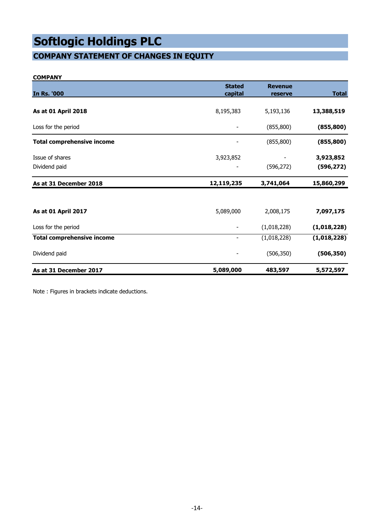### **COMPANY STATEMENT OF CHANGES IN EQUITY**

#### **COMPANY**

| <b>In Rs. '000</b>                | <b>Stated</b><br>capital | <b>Revenue</b><br>reserve | <b>Total</b> |
|-----------------------------------|--------------------------|---------------------------|--------------|
|                                   |                          |                           |              |
| As at 01 April 2018               | 8,195,383                | 5,193,136                 | 13,388,519   |
| Loss for the period               |                          | (855, 800)                | (855, 800)   |
| <b>Total comprehensive income</b> |                          | (855, 800)                | (855, 800)   |
| Issue of shares                   | 3,923,852                |                           | 3,923,852    |
| Dividend paid                     |                          | (596, 272)                | (596, 272)   |
| As at 31 December 2018            | 12,119,235               | 3,741,064                 | 15,860,299   |
|                                   |                          |                           |              |
| As at 01 April 2017               | 5,089,000                | 2,008,175                 | 7,097,175    |
| Loss for the period               |                          | (1,018,228)               | (1,018,228)  |
| <b>Total comprehensive income</b> | $\overline{\phantom{a}}$ | (1,018,228)               | (1,018,228)  |
| Dividend paid                     |                          | (506, 350)                | (506, 350)   |
| As at 31 December 2017            | 5,089,000                | 483,597                   | 5,572,597    |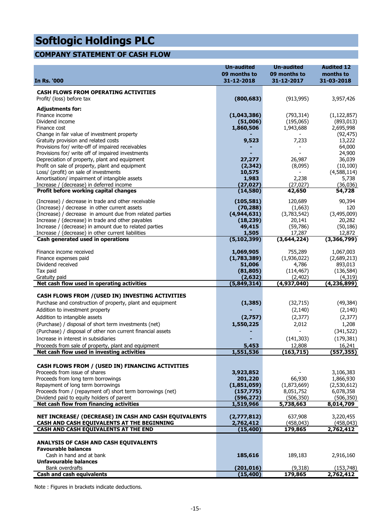### **COMPANY STATEMENT OF CASH FLOW**

| <b>CASH FLOWS FROM OPERATING ACTIVITIES</b>                                                                                                                        |                             |
|--------------------------------------------------------------------------------------------------------------------------------------------------------------------|-----------------------------|
| Profit/ (loss) before tax<br>(800, 683)<br>(913, 995)                                                                                                              | 3,957,426                   |
| <b>Adjustments for:</b>                                                                                                                                            |                             |
| Finance income<br>(1,043,386)<br>(793, 314)<br>Dividend income<br>(51,006)<br>(195,065)                                                                            | (1, 122, 857)<br>(893, 013) |
| 1,943,688<br>Finance cost<br>1,860,506                                                                                                                             | 2,695,998                   |
| Change in fair value of investment property                                                                                                                        | (92, 475)                   |
| Gratuity provision and related costs<br>9,523<br>7,233                                                                                                             | 13,222                      |
| Provisions for/ write-off of impaired receivables                                                                                                                  | 64,000                      |
| Provisions for/ write off of impaired investments<br>27,277<br>26,987<br>Depreciation of property, plant and equipment                                             | 24,900<br>36,039            |
| Profit on sale of property, plant and equipment<br>(2, 342)<br>(8,095)                                                                                             | (10, 100)                   |
| Loss/ (profit) on sale of investments<br>10,575                                                                                                                    | (4,588,114)                 |
| Amortisation/ impairment of intangible assets<br>2,238<br>1,983                                                                                                    | 5,738                       |
| (27, 027)<br>Increase / (decrease) in deferred income<br>(27, 027)                                                                                                 | (36,036)                    |
| Profit before working capital changes<br>(14,580)<br>42,650                                                                                                        | 54,728                      |
| (105, 581)<br>(Increase) / decrease in trade and other receivable<br>120,689                                                                                       | 90,394                      |
| (Increase) / decrease in other current assets<br>(70, 288)<br>(1,663)                                                                                              | 120                         |
| (4,944,631)<br>(3,783,542)<br>(Increase) / decrease in amount due from related parties<br>Increase / (decrease) in trade and other payables<br>(18, 239)<br>20,141 | (3,495,009)<br>20,282       |
| Increase / (decrease) in amount due to related parties<br>49,415<br>(59, 786)                                                                                      | (50, 186)                   |
| 1,505<br>Increase / (decrease) in other current liabilities<br>17,287                                                                                              | 12,872                      |
| (5, 102, 399)<br>(3,644,224)<br>Cash generated used in operations                                                                                                  | (3,366,799)                 |
| 755,289<br>Finance income received<br>1,069,905                                                                                                                    | 1,067,003                   |
| (1,783,389)<br>(1,936,022)<br>Finance expenses paid                                                                                                                | (2,689,213)                 |
| Dividend received<br>51,006<br>4,786                                                                                                                               | 893,013                     |
| Tax paid<br>(81, 805)<br>(114, 467)                                                                                                                                | (136, 584)                  |
| Gratuity paid<br>(2, 632)<br>(2, 402)<br>Net cash flow used in operating activities<br>(5,849,314)<br>(4,937,040)                                                  | (4,319)<br>(4, 236, 899)    |
|                                                                                                                                                                    |                             |
| CASH FLOWS FROM / (USED IN) INVESTING ACTIVITIES                                                                                                                   |                             |
| Purchase and construction of property, plant and equipment<br>(1, 385)<br>(32, 715)                                                                                | (49, 384)                   |
| Addition to investment property<br>(2, 140)<br>Addition to intangible assets<br>(2,757)<br>(2, 377)                                                                | (2, 140)                    |
| (Purchase) / disposal of short term investments (net)<br>1,550,225<br>2,012                                                                                        | (2, 377)<br>1,208           |
| (Purchase) / disposal of other non current financial assets                                                                                                        | (341, 522)                  |
| Increase in interest in subsidiaries<br>(141, 303)                                                                                                                 | (179, 381)                  |
| Proceeds from sale of property, plant and equipment<br>5,453<br>12,808                                                                                             | 16,241                      |
| Net cash flow used in investing activities<br>1,551,536<br>(163, 715)                                                                                              | (557, 355)                  |
|                                                                                                                                                                    |                             |
| CASH FLOWS FROM / (USED IN) FINANCING ACTIVITIES                                                                                                                   |                             |
| Proceeds from issue of shares<br>3,923,852<br>Proceeds from long term borrowings<br>201,220<br>66,930                                                              | 3,106,383<br>1,866,930      |
| Repayment of long term borrowings<br>(1,851,059)<br>(1,873,669)                                                                                                    | (2,530,612)                 |
| Proceeds from / (repayment of) short term borrowings (net)<br>(157, 775)<br>8,051,752                                                                              | 6,078,358                   |
| Dividend paid to equity holders of parent<br>(506, 350)<br>(596, 272)                                                                                              | (506, 350)                  |
| Net cash flow from financing activities<br>5,738,663<br>1,519,966                                                                                                  | 8,014,709                   |
| NET INCREASE/ (DECREASE) IN CASH AND CASH EQUIVALENTS<br>637,908<br>(2,777,812)                                                                                    | 3,220,455                   |
| CASH AND CASH EQUIVALENTS AT THE BEGINNING<br>2,762,412<br>(458, 043)                                                                                              | (458,043)                   |
| CASH AND CASH EQUIVALENTS AT THE END<br>(15, 400)<br>179,865                                                                                                       | 2,762,412                   |
| ANALYSIS OF CASH AND CASH EQUIVALENTS                                                                                                                              |                             |
| <b>Favourable balances</b>                                                                                                                                         |                             |
| Cash in hand and at bank<br>185,616<br>189,183                                                                                                                     | 2,916,160                   |
| Unfavourable balances<br>Bank overdrafts                                                                                                                           |                             |
| (201, 016)<br>(9,318)<br>Cash and cash equivalents<br>(15, 400)<br>179,865                                                                                         | (153, 748)<br>2,762,412     |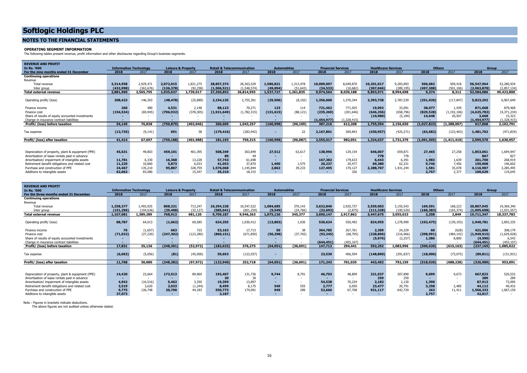#### **NOTES TO THE FINANCIAL STATEMENTS**

#### **OPERATING SEGMENT INFORMATION**

The following tables present revenue, profit information and other disclosures regarding Group's business segments.

| <b>REVENUE AND PROFIT</b>                         |            |                               |                               |                          |                                       |             |                |                          |                           |                          |                            |            |               |               |             |               |
|---------------------------------------------------|------------|-------------------------------|-------------------------------|--------------------------|---------------------------------------|-------------|----------------|--------------------------|---------------------------|--------------------------|----------------------------|------------|---------------|---------------|-------------|---------------|
| In Rs. '000                                       |            | <b>Information Technology</b> | <b>Leisure &amp; Property</b> |                          | <b>Retail &amp; Telecommunication</b> |             |                | <b>Automobiles</b>       | <b>Financial Services</b> |                          | <b>Healthcare Services</b> |            | <b>Others</b> |               |             | Group         |
| For the nine months ended 31 December             | 2018       | 2017                          | 2018                          | 2017                     | 2018                                  | 2017        | 2018           | 2017                     | 2018                      | 2017                     | 2018                       | 2017       | 2018          | 2017          | 2018        | 2017          |
| <b>Continuing operations</b>                      |            |                               |                               |                          |                                       |             |                |                          |                           |                          |                            |            |               |               |             |               |
| Revenue                                           |            |                               |                               |                          |                                       |             |                |                          |                           |                          |                            |            |               |               |             |               |
| Total revenue                                     | 3,314,958  | 2,929,471                     | 2,072,015                     | 1,831,275                | 28,857,374                            | 28,363,529  | 1,586,821      | 1,313,478                | 10,009,097                | 8,049,870                | 10,201,017                 | 9,283,893  | 506,682       | 509,418       | 56,547,964  | 52,280,934    |
| Inter group                                       | (432,998)  | (363, 676)                    | (136, 378)                    | (92, 258)                | (1,506,521)                           | (1,548,574) | (49,094)       | (51.643)                 | (34, 533)                 | (10,682)                 | (307, 046)                 | (289, 195) | (497, 308)    | (501.106)     | (2,963,878) | (2,857,134)   |
| <b>Total external revenue</b>                     | 2,881,960  | 2,565,795                     | 1,935,637                     | L,739,017                | 27,350,853                            | 26,814,955  | 1,537,727      | ,261,835                 | 9,974,564                 | 8,039,188                | 9,893,971                  | 8,994,698  | 9,374         | 8,312         | 53,584,086  | 49,423,800    |
|                                                   |            |                               |                               |                          |                                       |             |                |                          |                           |                          |                            |            |               |               |             |               |
| Operating profit/ (loss)                          | 208,423    | 146,303                       | (48, 478)                     | (25, 889)                | 2,194,135                             | 2,755,301   | (29, 506)      | (8, 102)                 | 1,356,000                 | 1,370,344                | 2,393,738                  | 2,787,539  | (251,020)     | (117, 847)    | 5,823,292   | 6,907,649     |
|                                                   |            |                               |                               |                          |                                       |             |                |                          |                           |                          |                            |            |               |               |             |               |
| Finance income                                    | 260        | 480                           | 4,531                         | 2,148                    | 88,123                                | 70,271      | 123            | 114                      | 721,462                   | 771,925                  | 19,092                     | 33,091     | 38,077        | 1,439         | 871,668     | 879,468       |
| Finance cost                                      | (154, 534) | (69, 945)                     | (706, 932)                    | (378, 305)               | (1,921,649)                           | (1,782,315) | (131, 615)     | (88, 121)                | (235, 269)                | (201, 646)               | (646, 256)                 | (658, 796) | (829, 528)    | (1, 192, 106) | (4,625,783) | (4, 371, 234) |
| Share of results of equity accounted investments  |            |                               |                               |                          |                                       |             |                | $\sim$                   | $\sim$                    |                          | (10,980)                   | (5, 184)   | 14,648        | 20,507        | 3,668       | 15,323        |
| Change in insurance contract liabilities          |            |                               |                               |                          |                                       |             |                |                          | (1, 454, 977)             | 1,328,415)               |                            |            |               |               | (1,454,977) | (1, 328, 415) |
| Profit/ (loss) before taxation                    | 54,149     | 76,838                        | (750, 879)                    | (402,046)                | 360,609                               | 1,043,257   | (160, 998)     | (96.109)                 | 387,216                   | 612,208                  | 1,755,594                  | 2,156,650  | (1.027.823)   | (1, 288, 007) | 617,868     | 2.102.791     |
|                                                   |            |                               |                               |                          |                                       |             |                |                          |                           |                          |                            |            |               |               |             |               |
| Tax expense                                       | (12, 735)  | (9, 141)                      | 691                           | 58                       | (179, 416)                            | (283, 942)  |                | 22                       | 2,167,801                 | 369,843                  | (430, 957)                 | (425, 271) | (63, 682)     | (123, 403)    | 1,481,702   | (471, 834)    |
| Profit/ (loss) after taxation                     | 41,414     | 67.697                        | (750, 188)                    | (401.988)                | 181,193                               | 759,315     | (160, 998)     | (96,087)                 | 2,555,017                 | 982,051                  | 1,324,637                  | 1,731,379  | (1,091,505)   | (1,411,410)   | 2,099,570   | 1,630,957     |
|                                                   |            |                               |                               |                          |                                       |             |                |                          |                           |                          |                            |            |               |               |             |               |
|                                                   |            |                               |                               |                          |                                       |             |                |                          |                           |                          |                            |            |               |               |             |               |
| Depreciation of property, plant & equipment (PPE) | 45,631     | 49,803                        | 459,101                       | 401,395                  | 508,349                               | 363,849     | 27,512         | 63.617                   | 138,996                   | 129,154                  | 646,007                    | 659,871    | 27,465        | 27,258        | 1,853,061   | 1,694,947     |
| Amortisation of lease rentals paid in advance     |            |                               |                               | $\overline{\phantom{a}}$ | 89                                    | 49          |                | $\overline{\phantom{a}}$ | $\sim$                    | $\overline{\phantom{0}}$ | 778                        | 778        |               | $\sim$        | 867         | 827           |
| Amortisation/ impairment of intangible assets     | 11,781     | 6,330                         | 16,368                        | 13,228                   | 57,743                                | 61,698      | $\blacksquare$ | $\overline{\phantom{a}}$ | 167,382                   | 179,633                  | 6,443                      | 6,391      | 1.983         | 1,639         | 261,700     | 268,919       |
| Retirement benefit obligations and related cost   | 11,229     | 10,860                        | 5,873                         | 6,033                    | 41,053                                | 37,870      | 1,490          | 1,575                    | 20,237                    | 20.477                   | 69,380                     | 62,331     | 9,746         | 7.456         | 159,008     | 146,602       |
| Purchase and construction of PPE                  | 24,467     | 135,210                       | 95,807                        | 328,759                  | 1,576,068                             | 1,145,844   | 2.862          | 39,233                   | 127,495                   | 170,127                  | 2,288,707                  | 1,431,244  | 1,581         | 35,078        | 4,116,987   | 3,285,495     |
| Additions to intangible assets                    | 62,662     | 83,080                        | $\sim$                        | 15,547                   | 35,210                                | 18,315      | $\sim$         |                          | $\sim$                    | 326                      | $\overline{\phantom{a}}$   |            | 2,757         | 2,377         | 100,629     | 119,645       |

| <b>REVENUE AND PROFIT</b>                         |            |                               |            |                               |                                       |            |                          |           |                           |            |                            |            |            |               |             |              |
|---------------------------------------------------|------------|-------------------------------|------------|-------------------------------|---------------------------------------|------------|--------------------------|-----------|---------------------------|------------|----------------------------|------------|------------|---------------|-------------|--------------|
| In Rs. '000                                       |            | <b>Information Technology</b> |            | <b>Leisure &amp; Property</b> | <b>Retail &amp; Telecommunication</b> |            | <b>Automobiles</b>       |           | <b>Financial Services</b> |            | <b>Healthcare Services</b> |            |            | <b>Others</b> |             | <b>Group</b> |
| For the three months ended 31 December            | 2018       | 2017                          | 2018       | 2017                          | 2018                                  | 2017       | 2018                     | 2017      | 2018                      | 2017       | 2018                       | 2017       | 2018       | 2017          | 2018        | 2017         |
| <b>Continuing operations</b>                      |            |                               |            |                               |                                       |            |                          |           |                           |            |                            |            |            |               |             |              |
| Revenue                                           |            |                               |            |                               |                                       |            |                          |           |                           |            |                            |            |            |               |             |              |
| Total revenue                                     | 1,258,377  | 1,493,925                     | 808,321    | 713,247                       | 10,294,228                            | 10,547,522 | 1,084,685                | 370,143   | 3,632,840                 | 2,920,737  | 3,559,003                  | 3,155,543  | 169,591    | 168,223       | 20,807,045  | 19,369,340   |
| Inter group                                       | (151, 296) | (104.636)                     | (39, 408)  | (32, 127)                     | (585, 041)                            | (601, 259) | (9, 549)                 | (24, 766) | (32, 693)                 | (2.875)    | (111, 328)                 | (100.520)  | (166, 383) | (165.374)     | (1,095,698) | (1,031,557)  |
| <b>Total external revenue</b>                     | 1,107,081  | 1,389,289                     | 768,913    | 681,120                       | 9,709,187                             | 9,946,263  | 1,075,136                | 345,377   | 3,600,147                 | 2,917,862  | 3,447,675                  | 3,055,023  | 3,208      | 2,849         | 19,711,347  | 18,337,783   |
|                                                   |            |                               |            |                               |                                       |            |                          |           |                           |            |                            |            |            |               |             |              |
| Operating profit/ (loss)                          | 88,787     | 64,013                        | (1,662)    | 69,585                        | 624,355                               | 1,030,412  | (13, 803)                | 1,036     | 520,624                   | 550,492    | 824,955                    | 1,278,990  | (102, 475) | (139, 193)    | 1,940,781   | 2,855,335    |
|                                                   |            |                               |            |                               |                                       |            |                          |           |                           |            |                            |            |            |               |             |              |
| Finance income                                    | 76         | (1,657)                       | 663        | 723                           | 53,163                                | 17,713     | 50                       | 38        | 364,785                   | 267,761    | 2,209                      | 24,229     | 60         | (628)         | 421,006     | 308,179      |
| Finance cost                                      | (71, 032)  | (27, 220)                     | (247, 302) | (123, 280)                    | (860, 151)                            | (671, 850) | (50, 298)                | (37, 765) | (93, 245)                 | (68, 705)  | (228, 896)                 | (216,966)  | (398, 991) | (484, 142)    | (1,949,915) | (1,629,928)  |
| Share of results of equity accounted investments  |            |                               |            | $\overline{\phantom{a}}$      |                                       |            |                          |           |                           |            | (5, 976)                   | (2,257)    | 1,386      | 8,800         | (4,590)     | 6,543        |
| Change in insurance contract liabilities          |            |                               |            |                               |                                       |            |                          |           | (644, 451)                | (455, 107) |                            |            |            |               | (644, 451)  | (455, 107)   |
| Profit/ (loss) before taxation                    | 17,831     | 35,136                        | (248, 301) | (52, 972)                     | (182, 633)                            | 376,275    | (64, 051)                | (36, 691) | 147,713                   | 294,441    | 592,292                    | 1,083,996  | (500, 020) | (615,163)     | (237, 169)  | 1,085,022    |
|                                                   |            |                               |            |                               |                                       |            |                          |           |                           |            |                            |            |            |               |             |              |
| Tax expense                                       | (6,063)    | (5,056)                       | (81)       | (45,000)                      | 59,693                                | (123, 557) | $\overline{\phantom{0}}$ |           | 23,530                    | 406,594    | (148, 890)                 | (291, 837) | (18,000)   | (73, 075)     | (89, 811)   | (131, 931)   |
|                                                   |            |                               |            |                               |                                       |            |                          |           |                           |            |                            |            |            |               |             |              |
| Profit/ (loss) after taxation                     | 11,768     | 30,080                        | (248, 382) | (97.972)                      | (122, 940)                            | 252,718    | (64, 051)                | (36, 691) | 171,243                   | 701.035    | 443,402                    | 792,159    | (518, 020) | (688.238)     | (326,980)   | 953,091      |
|                                                   |            |                               |            |                               |                                       |            |                          |           |                           |            |                            |            |            |               |             |              |
|                                                   | 14,420     | 23,664                        | 173,513    | 89,969                        | 192,407                               | 131,736    | 9,744                    | 8.791     | 46,703                    | 48,809     | 221,937                    | 207,890    | 9,099      | 9,673         | 667,823     | 520,532      |
| Depreciation of property, plant & equipment (PPE) |            |                               |            |                               |                                       | 30         |                          |           |                           |            |                            | 259        |            |               | 289         |              |
| Amortisation of lease rentals paid in advance     |            |                               |            | $\overline{\phantom{a}}$      | 30                                    |            | $\overline{\phantom{a}}$ | $\sim$    | $\sim$                    |            | 259                        |            |            |               |             | 289          |
| Amortisation/ impairment of intangible assets     | 4,942      | (16, 516)                     | 5,462      | 3,350                         | 19,399                                | 13,897     |                          |           | 54,538                    | 70,234     | 2,182                      | 2,130      | 1,390      |               | 87,913      | 73,095       |
| Retirement benefit obligations and related cost   | 3,519      | 3,620                         | 2,033      | (1,244)                       | 8,499                                 | 8.175      | 549                      | 555       | 2.777                     | 6,050      | 23,477                     | 20.791     | 3,258      | 2.485         | 44,112      | 40,432       |
| Purchase and construction of PPE                  | 9.775      | 126,748                       | 20,790     | 44,183                        | 550,773                               | 174,091    | 949                      | 289       | 52,666                    | 67.708     | 931,117                    | 642,729    | 263        | 11,411        | 1,566,333   | 1,067,159    |
| Additions to intangible assets                    | 37,073     |                               |            |                               | 2,187                                 |            |                          |           |                           |            |                            |            | 2.757      |               | 42,017      |              |

Note : Figures in brackets indicate deductions.

The above figures are not audited unless otherwise stated.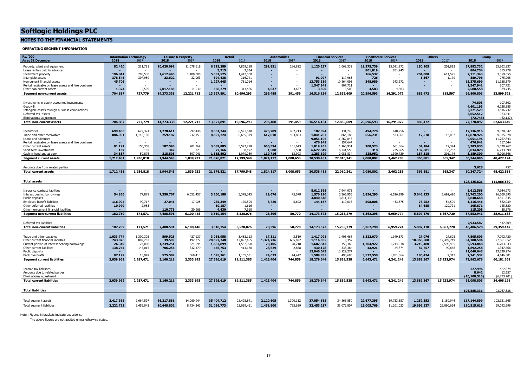#### **NOTES TO THE FINANCIAL STATEMENTS**

#### **OPERATING SEGMENT INFORMATION**

| 2018<br>As at 31 December<br>2018<br>2017<br>2018<br>2017<br>2017<br>2018<br>2017<br>2018<br>2017<br>2018<br>2017                                                                                                                                                                                                      |                                            | Group                                   |
|------------------------------------------------------------------------------------------------------------------------------------------------------------------------------------------------------------------------------------------------------------------------------------------------------------------------|--------------------------------------------|-----------------------------------------|
|                                                                                                                                                                                                                                                                                                                        | 2018<br>2017                               | 2018<br>2017                            |
| 10,620,091<br>6,312,289<br>1,120,237<br>82,420<br>211,781<br>11,078,619<br>7,869,218<br>291,851<br>286,822<br>1,062,332<br>19,275,739<br>15,091,272<br>Property, plant and equipment                                                                                                                                   | 180,105<br>202,893                         | 35,802,937<br>37,882,732                |
| 3,715<br>3,834<br>801.019<br>851,945<br>Lease rentals paid in advance                                                                                                                                                                                                                                                  |                                            | 855,779<br>804,734                      |
| 205,530<br>196,841<br>1,612,440<br>1,100,000<br>5,031,525<br>1,442,000<br>166,537<br>Investment property                                                                                                                                                                                                               | 704,000<br>611,525                         | 7.711.343<br>3,359,055                  |
| 307,959<br>117,963<br>23,622<br>32,063<br>394,438<br>316,741<br>91,097<br>Intangible assets<br>378,546<br>726                                                                                                                                                                                                          | 1,367<br>1,179                             | 775,905<br>889,796                      |
| 343,272<br>45,706<br>1,227,645<br>751,014<br>13,753,359<br>10,864,093<br>348,989<br>Non-current financial assets<br>$\sim$                                                                                                                                                                                             |                                            | 11,958,379<br>15,375,699                |
| 1,547,941<br>807,721<br>Rental receivable on lease assets and hire purchase                                                                                                                                                                                                                                            |                                            | 807,721<br>1,547,941                    |
| 1.374<br>2,509<br>2.017.185<br>11.030<br>558,279<br>313.486<br>4.637<br>4.637<br>3.500<br>3.583<br>4.583<br>3.500<br>Other non-current assets                                                                                                                                                                          |                                            | 2.588.558<br>339,745                    |
| 16,516,134<br>20,596,593<br>704.887<br>727,779<br>14,273,338<br>12,221,712<br>13,527,891<br>10,696,293<br>296,488<br>291,459<br>12,855,609<br>16,291,072<br>Segment non-current assets                                                                                                                                 | 885,472<br>815,597                         | 66,800,803<br>53,899,521                |
|                                                                                                                                                                                                                                                                                                                        |                                            |                                         |
| Investments in equity accounted investments                                                                                                                                                                                                                                                                            |                                            | 107,502<br>74,803                       |
| Goodwill                                                                                                                                                                                                                                                                                                               |                                            | 4,601,193<br>4,238,385                  |
| Intangible assets through business combinations                                                                                                                                                                                                                                                                        |                                            | 3,321,529<br>3,536,737                  |
| Deferred tax assets                                                                                                                                                                                                                                                                                                    |                                            | 3,052,512<br>923,641                    |
| Eliminations/ adjustment                                                                                                                                                                                                                                                                                               |                                            | (62, 137)<br>(72, 743)                  |
| 704,887<br>14,273,338<br>296,488<br>16,516,134<br>727,779<br>12,221,712<br>13,527,891<br>10,696,293<br>291,459<br>12,855,609<br>20,596,593<br>16,291,072<br><b>Total non-current assets</b>                                                                                                                            | 885,472                                    | 77,778,097<br>62,643,649                |
|                                                                                                                                                                                                                                                                                                                        |                                            |                                         |
| 622,374<br>997,446<br>437.713<br>610.256<br>699,400<br>1,278,611<br>9,051,744<br>6.521.610<br>425,289<br>187,094<br>131.248<br>494,778<br>Inventories                                                                                                                                                                  |                                            | 9,320,647<br>12.136.916                 |
| 886,901<br>1,113,108<br>259,187<br>242,153<br>8,597,224<br>6,655,379<br>617,018<br>453,804<br>1,841,787<br>864,186<br>656,231<br>573,961<br>Trade and other receivables                                                                                                                                                | 12,578<br>13,087                           | 12,870,926<br>9,915,678                 |
| 9,051,196<br>11,267,843<br>Loans and advances<br>٠                                                                                                                                                                                                                                                                     |                                            | 11,267,843<br>9,051,196                 |
| 476,941<br>157,644<br>Rental receivable on lease assets and hire purchase<br>$\sim$<br>$\sim$<br><b>м.</b>                                                                                                                                                                                                             |                                            | 157,644<br>476,941                      |
| 150,358<br>187,598<br>201,369<br>3,522,278<br>660,594<br>700,523<br>661,364<br>91,191<br>3,089,885<br>101,643<br>1,019,955<br>1,165,931<br>Other current assets                                                                                                                                                        | 17,324<br>34,184                           | 5,820,267<br>5,783,930                  |
| 342<br>323<br>1,500<br>6,341,555<br>102<br>102<br>22,166<br>30,192<br>1,500<br>6,677,849<br>318<br>225,965<br>Short term investments                                                                                                                                                                                   | 132,601<br>133,762                         | 6,733,399<br>6,834,878                  |
| 13,993<br>2.081.834<br>34,887<br>50.876<br>218,805<br>397.941<br>1,115,802<br>1.070.089<br>119,716<br>1,283,629<br>1.390.739<br>228,952<br>Cash in hand and at bank                                                                                                                                                    | 187,518<br>201.174                         | 5,206,646<br>3,189,309                  |
| 1,712,481<br>1.944.543<br>1,839,232<br>21,876,821<br>1.824.117<br>1,008,653<br>20,538,451<br>22.010.241<br>1,936,818<br>17,799,548<br>2,080,802<br>3,462,285<br><b>Segment current assets</b>                                                                                                                          | 366,881<br>365,347                         | 50,344,096<br>48.422.124                |
|                                                                                                                                                                                                                                                                                                                        |                                            |                                         |
|                                                                                                                                                                                                                                                                                                                        |                                            | 757<br>3,628                            |
|                                                                                                                                                                                                                                                                                                                        |                                            |                                         |
| Amounts due from related parties                                                                                                                                                                                                                                                                                       |                                            |                                         |
| 1,712,481<br>1,936,818<br>1,944,543<br>1,839,232<br>21,876,821<br>1,824,117<br>1,008,653<br>20,538,451<br>22,010,241<br>2,080,802<br>3,462,285<br>17,799,548<br><b>Total current assets</b>                                                                                                                            | 366,881<br>365,347                         | 48,422,881<br>50,347,724                |
|                                                                                                                                                                                                                                                                                                                        |                                            |                                         |
| <b>Total assets</b>                                                                                                                                                                                                                                                                                                    |                                            | 128,125,821<br>111,066,530              |
|                                                                                                                                                                                                                                                                                                                        |                                            |                                         |
| 8,612,568<br>7,944,973<br>Insurance contract liabilities                                                                                                                                                                                                                                                               |                                            | 8,612,568<br>7,944,973                  |
| 54,856<br>77,871<br>7,350,767<br>6,052,457<br>3,260,188<br>3,348,345<br>19,676<br>45,078<br>1,576,190<br>3,366,955<br>5,854,290<br>6,526,199<br>Interest bearing borrowings                                                                                                                                            | 5,646,233<br>6,692,490                     | 26,109,395<br>23,762,200                |
| 3,840,648<br>3,811,335<br>Public deposits                                                                                                                                                                                                                                                                              |                                            | 3,811,335<br>3,840,648                  |
| 90,717<br>17,025<br>170,505<br>5,692<br>433,575<br>116,904<br>27,046<br>235,349<br>8,720<br>144,167<br>110,016<br>508,008<br>Employee benefit liabilities                                                                                                                                                              | 76,252<br>54,509                           | 1,116,446<br>882,039                    |
| 2,983<br>10,187<br>1,616<br>Other deferred liabilities<br>10,999                                                                                                                                                                                                                                                       | 84,685<br>120,721                          | 105,871<br>125,320                      |
| 30,966<br>4,430<br>7,610<br>110,778<br>Other non-current financial liabilities                                                                                                                                                                                                                                         |                                            | 115,208<br>38,576                       |
| 182,759<br>171,571<br>7,488,591<br>6,100,448<br>3,510,154<br>3,528,076<br>28,396<br>50,770<br>14,173,573<br>15,233,279<br>6,362,298<br>6,959,774<br><b>Segment non-current liabilities</b>                                                                                                                             | 5,807,170<br>6,867,720                     | 37,552,941<br>38,911,638                |
|                                                                                                                                                                                                                                                                                                                        |                                            |                                         |
| Deferred tax liabilities                                                                                                                                                                                                                                                                                               |                                            | 2,933,587<br>447.509                    |
| 182,759<br>171,571<br>7,488,591<br>3,510,154<br>3,528,076<br>28,396<br>50,770<br>14,173,573<br>15,233,279<br>6,362,298<br>6,959,774<br>6,100,448<br><b>Total non-current liabilities</b>                                                                                                                               | 5,807,170<br>6,867,720                     | 40,486,528<br>39,359,147                |
|                                                                                                                                                                                                                                                                                                                        |                                            |                                         |
|                                                                                                                                                                                                                                                                                                                        |                                            |                                         |
| 1,033,774<br>1,300,305<br>599,523<br>427,137<br>3,088,958<br>3,482,113<br>3,519<br>1,417,091<br>1,405,468<br>1,322,070<br>1,149,573<br>17,311<br>Trade and other payables                                                                                                                                              | 24,605<br>27,076                           | 7,792,720<br>7,505,803                  |
| 39,599<br>192,272<br>12,892,455<br>665,822<br>9,357<br>Other current financial liabilities<br>743,876<br>802,202<br>20.597.748<br>1,324,736<br>1,114,055                                                                                                                                                               | 10,368,580<br>12,499,749                   | 27,061,857<br>34,188,594<br>9,593,848   |
| 26,349<br>24,000<br>1,239,251<br>821,594<br>1,687,899<br>1,557,998<br>28,105<br>28,218<br>1,687,842<br>458,360<br>1,704,922<br>1,214,938<br>Current portion of interest bearing borrowings<br>706,256<br>456,753<br>28,629<br>2,858<br>Other current liabilities<br>138,764<br>413,188<br>430,178<br>338,384<br>43,921 | 3,219,480<br>2,598,435<br>87,757<br>90,868 | 6,703,543<br>1,347,666<br>1,892,258     |
| 332,479<br>145,015<br>24,874<br>12,040,643<br>13,129,274<br>Public deposits                                                                                                                                                                                                                                            |                                            | 12,040,643<br>13,129,274                |
| 15,949<br>575,582<br>560,413<br>1,695,261<br>1.165.631<br>24,623<br>3,572,558<br>1,851,864<br>97,199<br>44,442<br>1,589,835<br>498.685<br>Bank overdrafts                                                                                                                                                              | 186,474<br>9.317                           | 4,146,301<br>7,741,532                  |
| 2,039,962<br><b>Segment current liabilities</b><br>2,287,471<br>3.160.211<br>2,333,895<br>27,526,619<br>19,511,385<br>1,423,404<br>744,859<br>18,279,644<br>15,839,528<br>6,643,471<br>4,241,249                                                                                                                       | 15,222,974<br>13,889,367                   | 72,962,678<br>60,181,361                |
|                                                                                                                                                                                                                                                                                                                        |                                            |                                         |
|                                                                                                                                                                                                                                                                                                                        |                                            |                                         |
| Income tax liabilities<br>Amounts due to related parties                                                                                                                                                                                                                                                               |                                            | 487.874<br>227,996<br>8,642             |
| Eliminations/ adjustment                                                                                                                                                                                                                                                                                               |                                            | 12,657<br>(6.273.701)<br>(10, 100, 513) |
| 2,039,962<br>2,287,471<br>3,160,211<br>27,526,619<br>18,279,644<br>15,839,528<br>6,643,471<br>2,333,895<br>19,511,385<br>744,859<br>4,241,249<br><b>Total current liabilities</b>                                                                                                                                      | 13,889,367<br>15,222,974                   | 63,098,803<br>54,408,191                |
| 1,423,404                                                                                                                                                                                                                                                                                                              |                                            |                                         |
|                                                                                                                                                                                                                                                                                                                        |                                            |                                         |
| <b>Total liabilities</b>                                                                                                                                                                                                                                                                                               |                                            | 103,585,331<br>93,767,338               |
|                                                                                                                                                                                                                                                                                                                        |                                            |                                         |
| 2,417,368<br>2,664,597<br>16,217,881<br>35,404,712<br>28,495,841<br>2,120,605<br>1,300,112<br>37,054,585<br>34,865,850<br>19,753,357<br>14,060,944<br>22,677,395<br>Total segment assets                                                                                                                               | 1,252,353<br>1,180,944                     | 102,321,645<br>117,144,899              |

Note : Figures in brackets indicate deductions.

The above figures are not audited unless otherwise stated.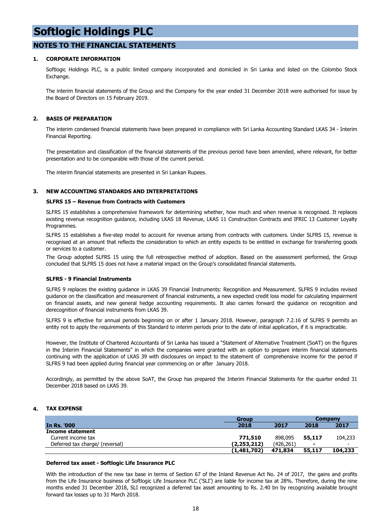#### **NOTES TO THE FINANCIAL STATEMENTS**

#### **1. CORPORATE INFORMATION**

Softlogic Holdings PLC, is a public limited company incorporated and domiciled in Sri Lanka and listed on the Colombo Stock Exchange.

The interim financial statements of the Group and the Company for the year ended 31 December 2018 were authorised for issue by the Board of Directors on 15 February 2019.

#### **2. BASIS OF PREPARATION**

The interim condensed financial statements have been prepared in compliance with Sri Lanka Accounting Standard LKAS 34 - Interim Financial Reporting.

The presentation and classification of the financial statements of the previous period have been amended, where relevant, for better presentation and to be comparable with those of the current period.

The interim financial statements are presented in Sri Lankan Rupees.

#### **3. NEW ACCOUNTING STANDARDS AND INTERPRETATIONS**

#### **SLFRS 15 – Revenue from Contracts with Customers**

SLFRS 15 establishes a comprehensive framework for determining whether, how much and when revenue is recognised. It replaces existing revenue recognition guidance, including LKAS 18 Revenue, LKAS 11 Construction Contracts and IFRIC 13 Customer Loyalty Programmes.

SLFRS 15 establishes a five-step model to account for revenue arising from contracts with customers. Under SLFRS 15, revenue is recognised at an amount that reflects the consideration to which an entity expects to be entitled in exchange for transferring goods or services to a customer.

The Group adopted SLFRS 15 using the full retrospective method of adoption. Based on the assessment performed, the Group concluded that SLFRS 15 does not have a material impact on the Group's consolidated financial statements.

#### **SLFRS - 9 Financial Instruments**

SLFRS 9 replaces the existing guidance in LKAS 39 Financial Instruments: Recognition and Measurement. SLFRS 9 includes revised guidance on the classification and measurement of financial instruments, a new expected credit loss model for calculating impairment on financial assets, and new general hedge accounting requirements. It also carries forward the guidance on recognition and derecognition of financial instruments from LKAS 39.

SLFRS 9 is effective for annual periods beginning on or after 1 January 2018. However, paragraph 7.2.16 of SLFRS 9 permits an entity not to apply the requirements of this Standard to interim periods prior to the date of initial application, if it is impracticable.

However, the Institute of Chartered Accountants of Sri Lanka has issued a "Statement of Alternative Treatment (SoAT) on the figures in the Interim Financial Statements" in which the companies were granted with an option to prepare interim financial statements continuing with the application of LKAS 39 with disclosures on impact to the statement of comprehensive income for the period if SLFRS 9 had been applied during financial year commencing on or after January 2018.

Accordingly, as permitted by the above SoAT, the Group has prepared the Interim Financial Statements for the quarter ended 31 December 2018 based on LKAS 39.

#### **4. TAX EXPENSE**

|                                 | Group       |           |                | <b>Company</b>           |
|---------------------------------|-------------|-----------|----------------|--------------------------|
| <b>In Rs. '000</b>              | 2018        | 2017      | 2018           | 2017                     |
| Income statement                |             |           |                |                          |
| Current income tax              | 771,510     | 898,095   | 55,117         | 104,233                  |
| Deferred tax charge/ (reversal) | (2,253,212) | (426.261` | $\blacksquare$ | $\overline{\phantom{0}}$ |
|                                 | (1,481,702) | 471,834   | 55,117         | 104,233                  |

#### **Deferred tax asset - Softlogic Life Insurance PLC**

With the introduction of the new tax base in terms of Section 67 of the Inland Revenue Act No. 24 of 2017, the gains and profits from the Life Insurance business of Softlogic Life Insurance PLC ('SLI') are liable for income tax at 28%. Therefore, during the nine months ended 31 December 2018, SLI recognized a deferred tax asset amounting to Rs. 2.40 bn by recognizing available brought forward tax losses up to 31 March 2018.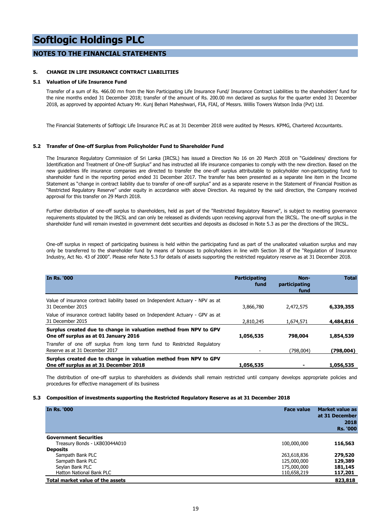#### **NOTES TO THE FINANCIAL STATEMENTS**

#### **5. CHANGE IN LIFE INSURANCE CONTRACT LIABILITIES**

#### **5.1 Valuation of Life Insurance Fund**

Transfer of a sum of Rs. 466.00 mn from the Non Participating Life Insurance Fund/ Insurance Contract Liabilities to the shareholders' fund for the nine months ended 31 December 2018; transfer of the amount of Rs. 200.00 mn declared as surplus for the quarter ended 31 December 2018, as approved by appointed Actuary Mr. Kunj Behari Maheshwari, FIA, FIAI, of Messrs. Willis Towers Watson India (Pvt) Ltd.

The Financial Statements of Softlogic Life Insurance PLC as at 31 December 2018 were audited by Messrs. KPMG, Chartered Accountants.

#### **5.2 Transfer of One-off Surplus from Policyholder Fund to Shareholder Fund**

The Insurance Regulatory Commission of Sri Lanka (IRCSL) has issued a Direction No 16 on 20 March 2018 on "Guidelines/ directions for Identification and Treatment of One-off Surplus" and has instructed all life insurance companies to comply with the new direction. Based on the new guidelines life insurance companies are directed to transfer the one-off surplus attributable to policyholder non-participating fund to shareholder fund in the reporting period ended 31 December 2017. The transfer has been presented as a separate line item in the Income Statement as "change in contract liability due to transfer of one-off surplus" and as a separate reserve in the Statement of Financial Position as "Restricted Regulatory Reserve" under equity in accordance with above Direction. As required by the said direction, the Company received approval for this transfer on 29 March 2018.

Further distribution of one-off surplus to shareholders, held as part of the "Restricted Regulatory Reserve", is subject to meeting governance requirements stipulated by the IRCSL and can only be released as dividends upon receiving approval from the IRCSL. The one-off surplus in the shareholder fund will remain invested in government debt securities and deposits as disclosed in Note 5.3 as per the directions of the IRCSL.

One-off surplus in respect of participating business is held within the participating fund as part of the unallocated valuation surplus and may only be transferred to the shareholder fund by means of bonuses to policyholders in line with Section 38 of the "Regulation of Insurance Industry, Act No. 43 of 2000". Please refer Note 5.3 for details of assets supporting the restricted regulatory reserve as at 31 December 2018.

| In Rs. '000                                                                                                 | <b>Participating</b><br>fund | Non-<br>participating<br>fund | <b>Total</b> |
|-------------------------------------------------------------------------------------------------------------|------------------------------|-------------------------------|--------------|
| Value of insurance contract liability based on Independent Actuary - NPV as at<br>31 December 2015          | 3,866,780                    | 2,472,575                     | 6,339,355    |
| Value of insurance contract liability based on Independent Actuary - GPV as at<br>31 December 2015          | 2,810,245                    | 1,674,571                     | 4,484,816    |
| Surplus created due to change in valuation method from NPV to GPV<br>One off surplus as at 01 January 2016  | 1,056,535                    | 798,004                       | 1,854,539    |
| Transfer of one off surplus from long term fund to Restricted Regulatory<br>Reserve as at 31 December 2017  |                              | (798.004)                     | (798,004)    |
| Surplus created due to change in valuation method from NPV to GPV<br>One off surplus as at 31 December 2018 | 1,056,535                    |                               | 1,056,535    |

The distribution of one-off surplus to shareholders as dividends shall remain restricted until company develops appropriate policies and procedures for effective management of its business

#### **5.3 Composition of investments supporting the Restricted Regulatory Reserve as at 31 December 2018**

| <b>In Rs. '000</b>               | <b>Face value</b> | <b>Market value as</b><br>at 31 December<br>2018<br><b>Rs. '000</b> |
|----------------------------------|-------------------|---------------------------------------------------------------------|
| <b>Government Securities</b>     |                   |                                                                     |
| Treasury Bonds - LKB03044A010    | 100,000,000       | 116,563                                                             |
| <b>Deposits</b>                  |                   |                                                                     |
| Sampath Bank PLC                 | 263,618,836       | 279,520                                                             |
| Sampath Bank PLC                 | 125,000,000       | 129,389                                                             |
| Seylan Bank PLC                  | 175,000,000       | 181,145                                                             |
| <b>Hatton National Bank PLC</b>  | 110,658,219       | 117,201                                                             |
| Total market value of the assets |                   | 823,818                                                             |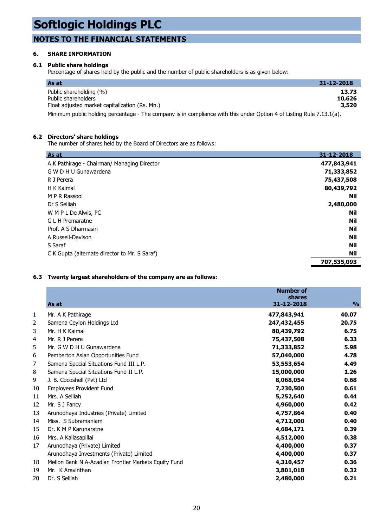### **NOTES TO THE FINANCIAL STATEMENTS**

#### **6. SHARE INFORMATION**

#### **6.1 Public share holdings**

Percentage of shares held by the public and the number of public shareholders is as given below:

| As at                                                                                                                | 31-12-2018 |
|----------------------------------------------------------------------------------------------------------------------|------------|
| Public shareholding (%)                                                                                              | 13.73      |
| Public shareholders                                                                                                  | 10,626     |
| Float adjusted market capitalization (Rs. Mn.)                                                                       | 3,520      |
| Minimum public holding percentage - The company is in compliance with this under Option 4 of Listing Rule 7.13.1(a). |            |

#### **6.2 Directors' share holdings**

The number of shares held by the Board of Directors are as follows:

| As at                                         | 31-12-2018  |
|-----------------------------------------------|-------------|
| A K Pathirage - Chairman/ Managing Director   | 477,843,941 |
| G W D H U Gunawardena                         | 71,333,852  |
| R J Perera                                    | 75,437,508  |
| H K Kaimal                                    | 80,439,792  |
| M P R Rassool                                 | Nil         |
| Dr S Selliah                                  | 2,480,000   |
| W M P L De Alwis, PC                          | Nil         |
| G L H Premaratne                              | Nil         |
| Prof. A S Dharmasiri                          | Nil         |
| A Russell-Davison                             | Nil         |
| S Saraf                                       | Nil         |
| C K Gupta (alternate director to Mr. S Saraf) | Nil         |
|                                               | 707,535,093 |

#### **6.3 Twenty largest shareholders of the company are as follows:**

|    | As at                                                | <b>Number of</b><br>shares<br><u>31-12-2018</u> | $\frac{0}{0}$ |
|----|------------------------------------------------------|-------------------------------------------------|---------------|
| 1  | Mr. A K Pathirage                                    | 477,843,941                                     | 40.07         |
| 2  | Samena Ceylon Holdings Ltd                           | 247,432,455                                     | 20.75         |
| 3  | Mr. H K Kaimal                                       | 80,439,792                                      | 6.75          |
| 4  | Mr. R J Perera                                       | 75,437,508                                      | 6.33          |
| 5  | Mr. G W D H U Gunawardena                            | 71,333,852                                      | 5.98          |
| 6  | Pemberton Asian Opportunities Fund                   | 57,040,000                                      | 4.78          |
| 7  | Samena Special Situations Fund III L.P.              | 53,553,654                                      | 4.49          |
| 8  | Samena Special Situations Fund II L.P.               | 15,000,000                                      | 1.26          |
| 9  | J. B. Cocoshell (Pvt) Ltd                            | 8,068,054                                       | 0.68          |
| 10 | Employees Provident Fund                             | 7,230,500                                       | 0.61          |
| 11 | Mrs. A Selliah                                       | 5,252,640                                       | 0.44          |
| 12 | Mr. S J Fancy                                        | 4,960,000                                       | 0.42          |
| 13 | Arunodhaya Industries (Private) Limited              | 4,757,864                                       | 0.40          |
| 14 | Miss. S Subramaniam                                  | 4,712,000                                       | 0.40          |
| 15 | Dr. K M P Karunaratne                                | 4,684,171                                       | 0.39          |
| 16 | Mrs. A Kailasapillai                                 | 4,512,000                                       | 0.38          |
| 17 | Arunodhaya (Private) Limited                         | 4,400,000                                       | 0.37          |
|    | Arunodhaya Investments (Private) Limited             | 4,400,000                                       | 0.37          |
| 18 | Mellon Bank N.A-Acadian Frontier Markets Equity Fund | 4,310,457                                       | 0.36          |
| 19 | Mr. K Aravinthan                                     | 3,801,018                                       | 0.32          |
| 20 | Dr. S Selliah                                        | 2,480,000                                       | 0.21          |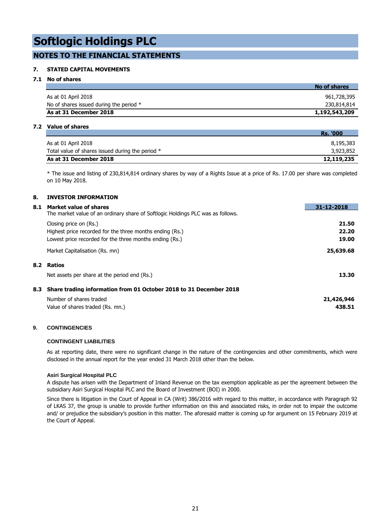### **NOTES TO THE FINANCIAL STATEMENTS**

#### **7. STATED CAPITAL MOVEMENTS**

#### **7.1 No of shares**

|                                         | No of shares  |
|-----------------------------------------|---------------|
| As at 01 April 2018                     | 961,728,395   |
| No of shares issued during the period * | 230,814,814   |
| As at 31 December 2018                  | 1,192,543,209 |

#### **7.2 Value of shares**

|                                                  | <b>Rs. '000</b> |
|--------------------------------------------------|-----------------|
| As at 01 April 2018                              | 8,195,383       |
| Total value of shares issued during the period * | 3,923,852       |
| As at 31 December 2018                           | 12,119,235      |

\* The issue and listing of 230,814,814 ordinary shares by way of a Rights Issue at a price of Rs. 17.00 per share was completed on 10 May 2018.

#### **8. INVESTOR INFORMATION**

| 8.1 | Market value of shares                                                          | 31-12-2018 |
|-----|---------------------------------------------------------------------------------|------------|
|     | The market value of an ordinary share of Softlogic Holdings PLC was as follows. |            |
|     | Closing price on (Rs.)                                                          | 21.50      |
|     | Highest price recorded for the three months ending (Rs.)                        | 22.20      |
|     | Lowest price recorded for the three months ending (Rs.)                         | 19.00      |
|     | Market Capitalisation (Rs. mn)                                                  | 25,639.68  |
| 8.2 | Ratios                                                                          |            |
|     | Net assets per share at the period end (Rs.)                                    | 13.30      |
| 8.3 | Share trading information from 01 October 2018 to 31 December 2018              |            |
|     | Number of shares traded                                                         | 21,426,946 |
|     | Value of shares traded (Rs. mn.)                                                | 438.51     |

#### **9. CONTINGENCIES**

#### **CONTINGENT LIABILITIES**

As at reporting date, there were no significant change in the nature of the contingencies and other commitments, which were disclosed in the annual report for the year ended 31 March 2018 other than the below.

#### **Asiri Surgical Hospital PLC**

A dispute has arisen with the Department of Inland Revenue on the tax exemption applicable as per the agreement between the subsidiary Asiri Surgical Hospital PLC and the Board of Investment (BOI) in 2000.

Since there is litigation in the Court of Appeal in CA (Writ) 386/2016 with regard to this matter, in accordance with Paragraph 92 of LKAS 37, the group is unable to provide further information on this and associated risks, in order not to impair the outcome and/ or prejudice the subsidiary's position in this matter. The aforesaid matter is coming up for argument on 15 February 2019 at the Court of Appeal.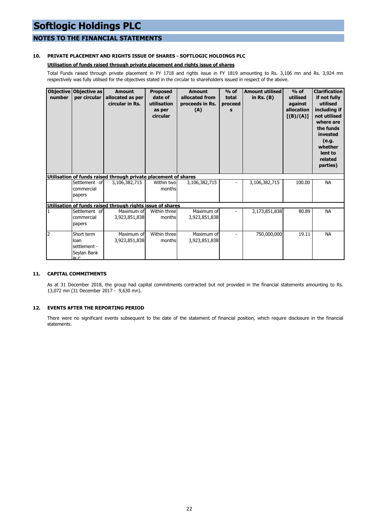### **NOTES TO THE FINANCIAL STATEMENTS**

#### **10. PRIVATE PLACEMENT AND RIGHTS ISSUE OF SHARES - SOFTLOGIC HOLDINGS PLC**

#### **Utilisation of funds raised through private placement and rights issue of shares**

Total Funds raised through private placement in FY 1718 and rights issue in FY 1819 amounting to Rs. 3,106 mn and Rs. 3,924 mn respectively was fully utilised for the objectives stated in the circular to shareholders issued in respect of the above.

| <b>Objective</b><br>number | Objective as<br>per circular                             | <b>Amount</b><br>allocated as per<br>circular in Rs.            | <b>Proposed</b><br>date of<br>utilisation<br>as per<br>circular | <b>Amount</b><br>allocated from<br>proceeds in Rs.<br>(A) | $%$ of<br>total<br>proceed<br>s | <b>Amount utilised</b><br>in Rs. $(B)$ | $%$ of<br>utilised<br>against<br>allocation<br>[(B)/(A)] | <b>Clarification</b><br>if not fully<br>utilised<br>including if<br>not utilised<br>where are<br>the funds<br>invested<br>(e.g.<br>whether<br>lent to<br>related<br>parties) |
|----------------------------|----------------------------------------------------------|-----------------------------------------------------------------|-----------------------------------------------------------------|-----------------------------------------------------------|---------------------------------|----------------------------------------|----------------------------------------------------------|------------------------------------------------------------------------------------------------------------------------------------------------------------------------------|
|                            |                                                          | Utilisation of funds raised through private placement of shares |                                                                 |                                                           |                                 |                                        |                                                          |                                                                                                                                                                              |
|                            | Settlement of<br>commercial<br>papers                    | 3,106,382,715                                                   | Within two<br>months                                            | 3,106,382,715                                             |                                 | 3,106,382,715                          | 100.00                                                   | <b>NA</b>                                                                                                                                                                    |
|                            |                                                          | Utilisation of funds raised through rights issue of shares      |                                                                 |                                                           |                                 |                                        |                                                          |                                                                                                                                                                              |
| 1                          | Settlement of<br>commercial<br>papers                    | Maximum of<br>3,923,851,838                                     | Within three<br>months                                          | Maximum of<br>3,923,851,838                               |                                 | 3,173,851,838                          | 80.89                                                    | <b>NA</b>                                                                                                                                                                    |
| $\overline{2}$             | Short term<br>loan<br>settlement -<br>Seylan Bank<br>DIC | Maximum of<br>3,923,851,838                                     | Within three<br>months                                          | Maximum of<br>3,923,851,838                               |                                 | 750,000,000                            | 19.11                                                    | <b>NA</b>                                                                                                                                                                    |

#### **11. CAPITAL COMMITMENTS**

As at 31 December 2018, the group had capital commitments contracted but not provided in the financial statements amounting to Rs. 13,072 mn (31 December 2017 - 9,630 mn).

#### **12. EVENTS AFTER THE REPORTING PERIOD**

There were no significant events subsequent to the date of the statement of financial position, which require disclosure in the financial statements.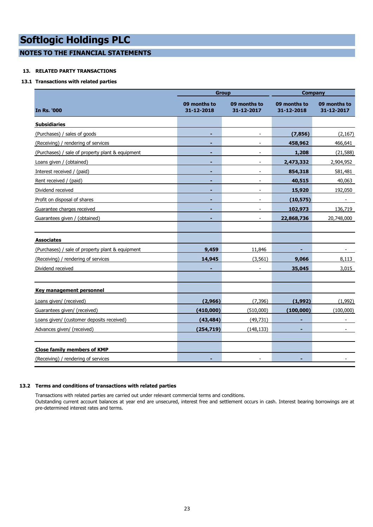**NOTES TO THE FINANCIAL STATEMENTS**

#### **13. RELATED PARTY TRANSACTIONS**

#### **13.1 Transactions with related parties**

|                                                  |                            | <b>Group</b>               | <b>Company</b>             |                            |  |
|--------------------------------------------------|----------------------------|----------------------------|----------------------------|----------------------------|--|
| In Rs. '000                                      | 09 months to<br>31-12-2018 | 09 months to<br>31-12-2017 | 09 months to<br>31-12-2018 | 09 months to<br>31-12-2017 |  |
| <b>Subsidiaries</b>                              |                            |                            |                            |                            |  |
| (Purchases) / sales of goods                     |                            |                            | (7, 856)                   | (2, 167)                   |  |
| (Receiving) / rendering of services              |                            |                            | 458,962                    | 466,641                    |  |
| (Purchases) / sale of property plant & equipment |                            |                            | 1,208                      | (21, 588)                  |  |
| Loans given / (obtained)                         |                            |                            | 2,473,332                  | 2,904,952                  |  |
| Interest received / (paid)                       | ٠                          |                            | 854,318                    | 581,481                    |  |
| Rent received / (paid)                           |                            |                            | 40,515                     | 40,063                     |  |
| Dividend received                                | ٠                          | $\blacksquare$             | 15,920                     | 192,050                    |  |
| Profit on disposal of shares                     | -                          | $\overline{\phantom{a}}$   | (10, 575)                  | $\overline{\phantom{a}}$   |  |
| Guarantee charges received                       |                            | $\overline{\phantom{a}}$   | 102,973                    | 136,719                    |  |
| Guarantees given / (obtained)                    |                            | $\overline{a}$             | 22,868,736                 | 20,748,000                 |  |
|                                                  |                            |                            |                            |                            |  |
| <b>Associates</b>                                |                            |                            |                            |                            |  |
| (Purchases) / sale of property plant & equipment | 9,459                      | 11,846                     |                            | $\overline{\phantom{a}}$   |  |
| (Receiving) / rendering of services              | 14,945                     | (3, 561)                   | 9,066                      | 8,113                      |  |
| Dividend received                                |                            |                            | 35,045                     | 3,015                      |  |
|                                                  |                            |                            |                            |                            |  |
| Key management personnel                         |                            |                            |                            |                            |  |
| Loans given/ (received)                          | (2,966)                    | (7, 396)                   | (1,992)                    | (1,992)                    |  |
| Guarantees given/ (received)                     | (410,000)                  | (510,000)                  | (100, 000)                 | (100,000)                  |  |
| Loans given/ (customer deposits received)        | (43, 484)                  | (49, 731)                  |                            |                            |  |
| Advances given/ (received)                       | (254, 719)                 | (148, 133)                 |                            |                            |  |
|                                                  |                            |                            |                            |                            |  |
| <b>Close family members of KMP</b>               |                            |                            |                            |                            |  |
| (Receiving) / rendering of services              |                            |                            |                            |                            |  |

#### **13.2 Terms and conditions of transactions with related parties**

Transactions with related parties are carried out under relevant commercial terms and conditions.

Outstanding current account balances at year end are unsecured, interest free and settlement occurs in cash. Interest bearing borrowings are at pre-determined interest rates and terms.